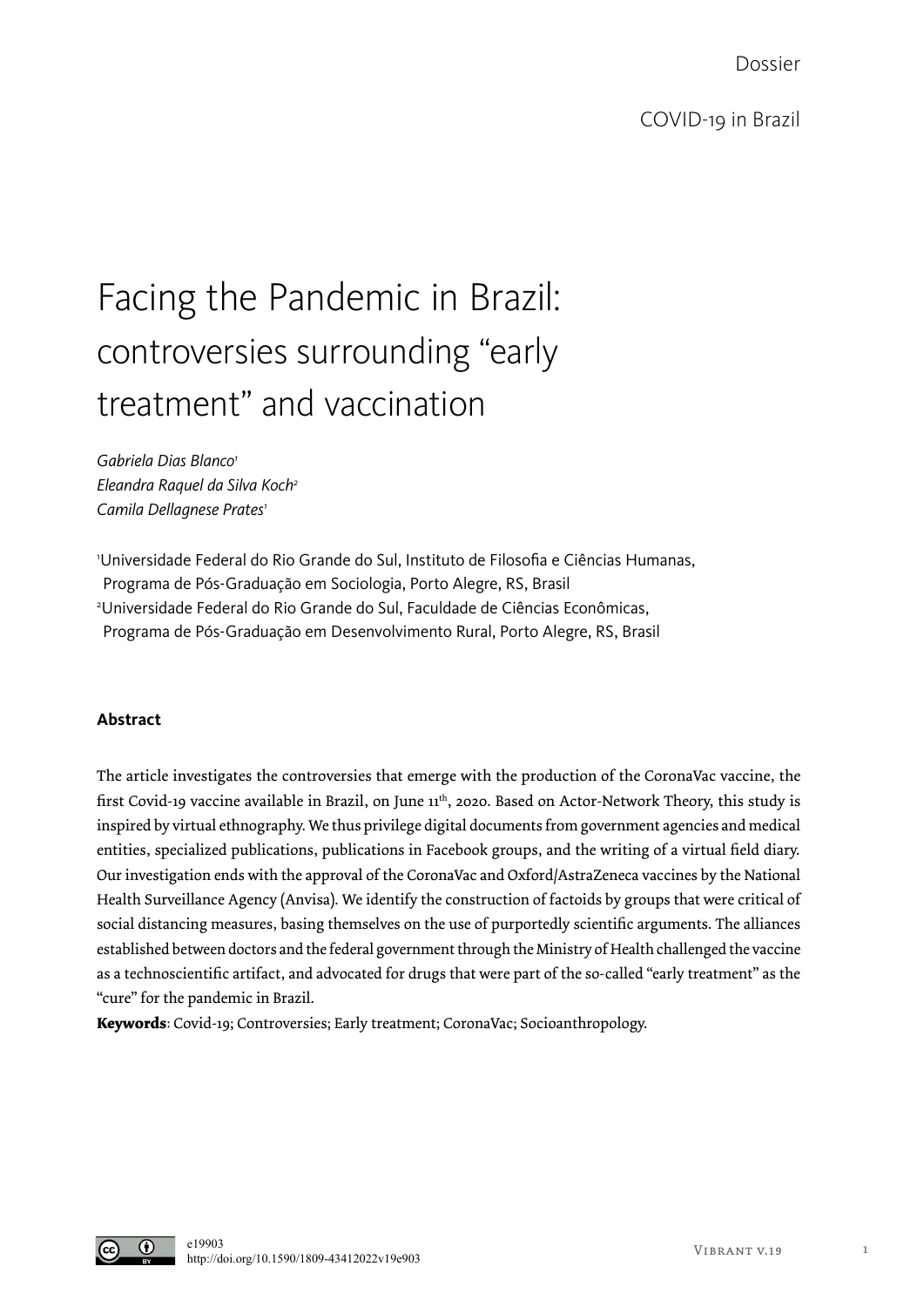Dossier

# Facing the Pandemic in Brazil: controversies surrounding "early treatment" and vaccination

*Gabriela Dias Blanco1 Eleandra Raquel da Silva Koch2 Camila Dellagnese Prates1*

1 Universidade Federal do Rio Grande do Sul, Instituto de Filosofia e Ciências Humanas, Programa de Pós-Graduação em Sociologia, Porto Alegre, RS, Brasil 2 Universidade Federal do Rio Grande do Sul, Faculdade de Ciências Econômicas, Programa de Pós-Graduação em Desenvolvimento Rural, Porto Alegre, RS, Brasil

# **Abstract**

The article investigates the controversies that emerge with the production of the CoronaVac vaccine, the first Covid-19 vaccine available in Brazil, on June 11th, 2020. Based on Actor-Network Theory, this study is inspired by virtual ethnography. We thus privilege digital documents from government agencies and medical entities, specialized publications, publications in Facebook groups, and the writing of a virtual field diary. Our investigation ends with the approval of the CoronaVac and Oxford/AstraZeneca vaccines by the National Health Surveillance Agency (Anvisa). We identify the construction of factoids by groups that were critical of social distancing measures, basing themselves on the use of purportedly scientific arguments. The alliances established between doctors and the federal government through the Ministry of Health challenged the vaccine as a technoscientific artifact, and advocated for drugs that were part of the so-called "early treatment" as the "cure" for the pandemic in Brazil.

**Keywords**: Covid-19; Controversies; Early treatment; CoronaVac; Socioanthropology.

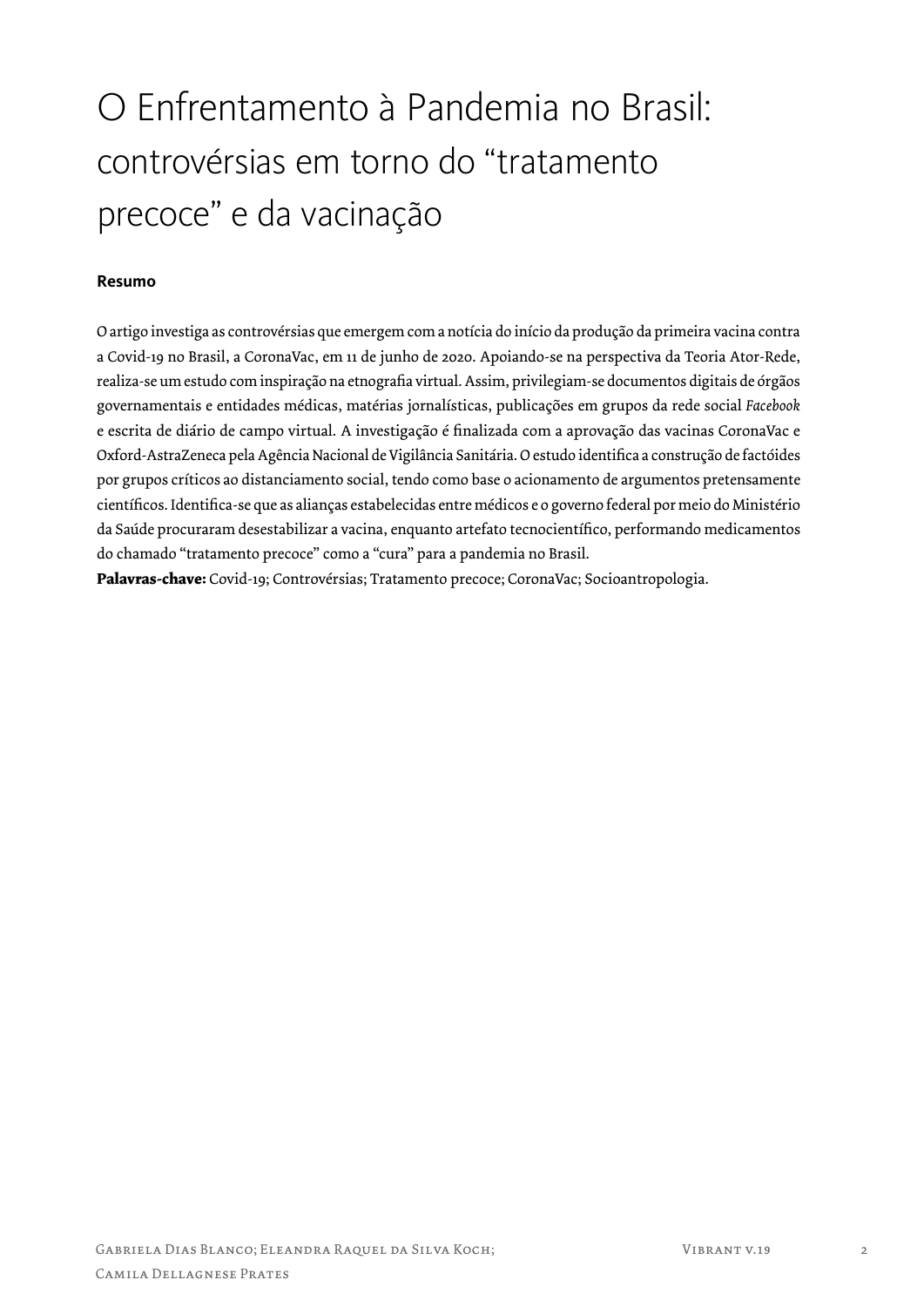# O Enfrentamento à Pandemia no Brasil: controvérsias em torno do "tratamento precoce" e da vacinação

# **Resumo**

O artigo investiga as controvérsias que emergem com a notícia do início da produção da primeira vacina contra a Covid-19 no Brasil, a CoronaVac, em 11 de junho de 2020. Apoiando-se na perspectiva da Teoria Ator-Rede, realiza-se um estudo com inspiração na etnografia virtual. Assim, privilegiam-se documentos digitais de órgãos governamentais e entidades médicas, matérias jornalísticas, publicações em grupos da rede social *Facebook* e escrita de diário de campo virtual. A investigação é finalizada com a aprovação das vacinas CoronaVac e Oxford-AstraZeneca pela Agência Nacional de Vigilância Sanitária. O estudo identifica a construção de factóides por grupos críticos ao distanciamento social, tendo como base o acionamento de argumentos pretensamente científicos. Identifica-se que as alianças estabelecidas entre médicos e o governo federal por meio do Ministério da Saúde procuraram desestabilizar a vacina, enquanto artefato tecnocientífico, performando medicamentos do chamado "tratamento precoce" como a "cura" para a pandemia no Brasil.

**Palavras-chave:** Covid-19; Controvérsias; Tratamento precoce; CoronaVac; Socioantropologia.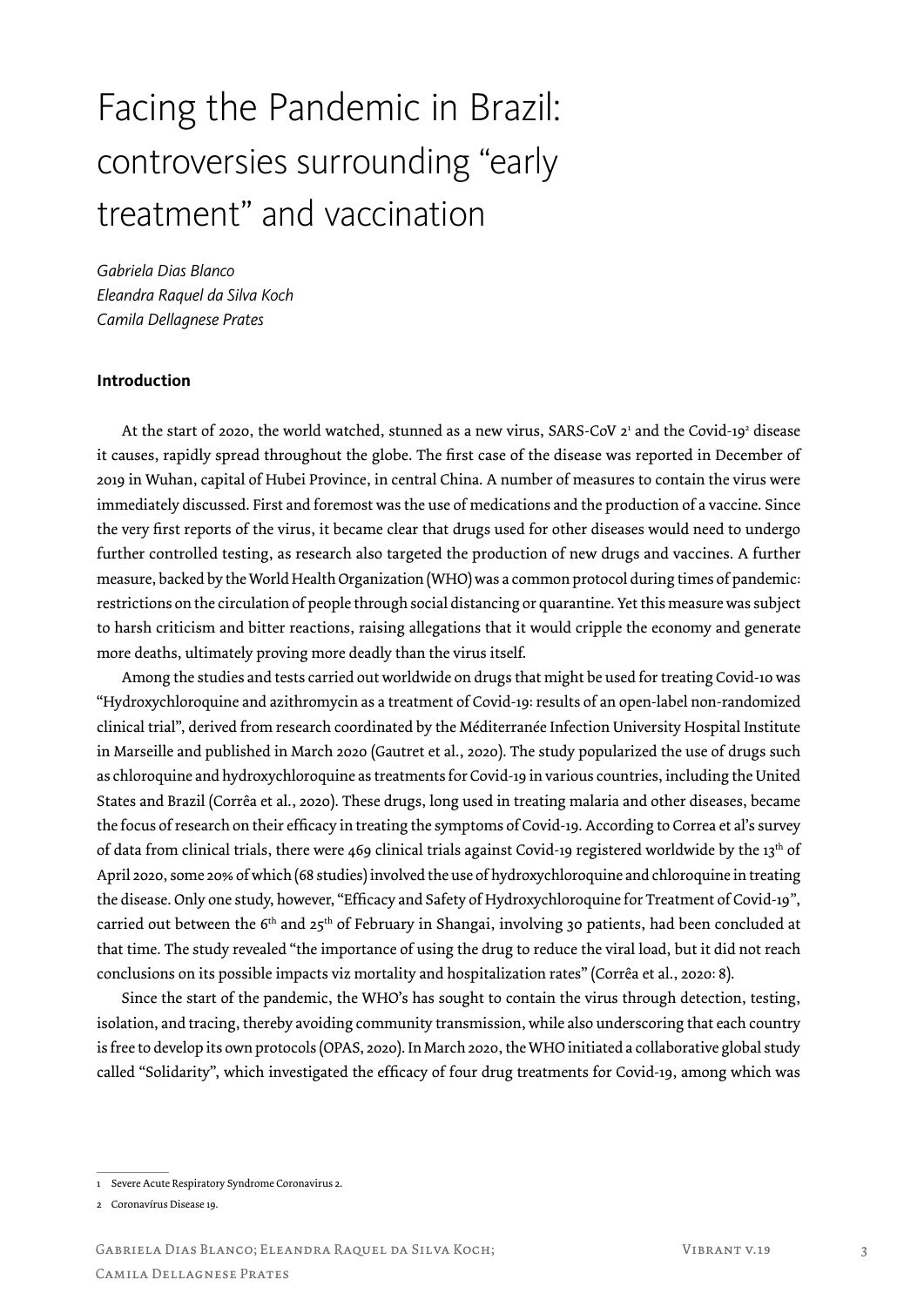# Facing the Pandemic in Brazil: controversies surrounding "early treatment" and vaccination

*Gabriela Dias Blanco Eleandra Raquel da Silva Koch Camila Dellagnese Prates*

## **Introduction**

At the start of 2020, the world watched, stunned as a new virus, SARS-CoV 2<sup>1</sup> and the Covid-19<sup>2</sup> disease it causes, rapidly spread throughout the globe. The first case of the disease was reported in December of 2019 in Wuhan, capital of Hubei Province, in central China. A number of measures to contain the virus were immediately discussed. First and foremost was the use of medications and the production of a vaccine. Since the very first reports of the virus, it became clear that drugs used for other diseases would need to undergo further controlled testing, as research also targeted the production of new drugs and vaccines. A further measure, backed by the World Health Organization (WHO) was a common protocol during times of pandemic: restrictions on the circulation of people through social distancing or quarantine. Yet this measure was subject to harsh criticism and bitter reactions, raising allegations that it would cripple the economy and generate more deaths, ultimately proving more deadly than the virus itself.

Among the studies and tests carried out worldwide on drugs that might be used for treating Covid-10 was "Hydroxychloroquine and azithromycin as a treatment of Covid-19: results of an open-label non-randomized clinical trial", derived from research coordinated by the Méditerranée Infection University Hospital Institute in Marseille and published in March 2020 (Gautret et al., 2020). The study popularized the use of drugs such as chloroquine and hydroxychloroquine as treatments for Covid-19 in various countries, including the United States and Brazil (Corrêa et al., 2020). These drugs, long used in treating malaria and other diseases, became the focus of research on their efficacy in treating the symptoms of Covid-19. According to Correa et al's survey of data from clinical trials, there were 469 clinical trials against Covid-19 registered worldwide by the 13<sup>th</sup> of April 2020, some 20% of which (68 studies) involved the use of hydroxychloroquine and chloroquine in treating the disease. Only one study, however, "Efficacy and Safety of Hydroxychloroquine for Treatment of Covid-19*"*, carried out between the 6<sup>th</sup> and 25<sup>th</sup> of February in Shangai, involving 30 patients, had been concluded at that time. The study revealed "the importance of using the drug to reduce the viral load, but it did not reach conclusions on its possible impacts viz mortality and hospitalization rates" (Corrêa et al., 2020: 8).

Since the start of the pandemic, the WHO's has sought to contain the virus through detection, testing, isolation, and tracing, thereby avoiding community transmission, while also underscoring that each country is free to develop its own protocols (OPAS, 2020). In March 2020, the WHO initiated a collaborative global study called "Solidarity", which investigated the efficacy of four drug treatments for Covid-19, among which was

<sup>1</sup> Severe Acute Respiratory Syndrome Coronavirus 2.

<sup>2</sup> Coronavírus Disease 19.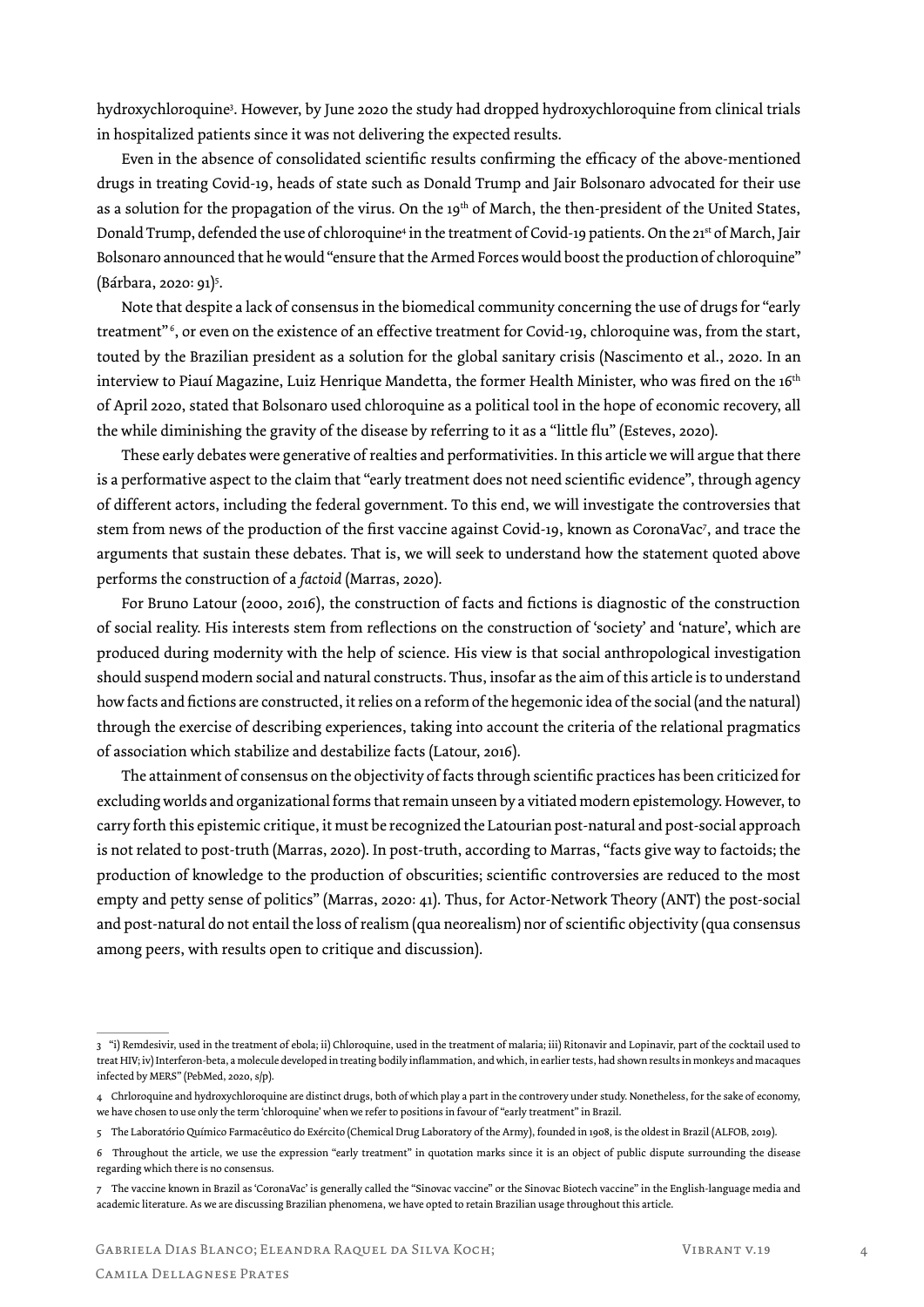hydroxychloroquine3 . However, by June 2020 the study had dropped hydroxychloroquine from clinical trials in hospitalized patients since it was not delivering the expected results.

Even in the absence of consolidated scientific results confirming the efficacy of the above-mentioned drugs in treating Covid-19, heads of state such as Donald Trump and Jair Bolsonaro advocated for their use as a solution for the propagation of the virus. On the 19<sup>th</sup> of March, the then-president of the United States, Donald Trump, defended the use of chloroquine<sup>4</sup> in the treatment of Covid-19 patients. On the 21<sup>st</sup> of March, Jair Bolsonaro announced that he would "ensure that the Armed Forces would boost the production of chloroquine" (Bárbara, 2020: 91)<sup>5</sup>.

Note that despite a lack of consensus in the biomedical community concerning the use of drugs for "early treatment" <sup>6</sup> , or even on the existence of an effective treatment for Covid-19, chloroquine was, from the start, touted by the Brazilian president as a solution for the global sanitary crisis (Nascimento et al., 2020. In an interview to Piauí Magazine, Luiz Henrique Mandetta, the former Health Minister, who was fired on the 16<sup>th</sup> of April 2020, stated that Bolsonaro used chloroquine as a political tool in the hope of economic recovery, all the while diminishing the gravity of the disease by referring to it as a "little flu" (Esteves, 2020).

These early debates were generative of realties and performativities. In this article we will argue that there is a performative aspect to the claim that "early treatment does not need scientific evidence", through agency of different actors, including the federal government. To this end, we will investigate the controversies that stem from news of the production of the first vaccine against Covid-19, known as CoronaVac7 , and trace the arguments that sustain these debates. That is, we will seek to understand how the statement quoted above performs the construction of a *factoid* (Marras, 2020).

For Bruno Latour (2000, 2016), the construction of facts and fictions is diagnostic of the construction of social reality. His interests stem from reflections on the construction of 'society' and 'nature', which are produced during modernity with the help of science. His view is that social anthropological investigation should suspend modern social and natural constructs. Thus, insofar as the aim of this article is to understand how facts and fictions are constructed, it relies on a reform of the hegemonic idea of the social (and the natural) through the exercise of describing experiences, taking into account the criteria of the relational pragmatics of association which stabilize and destabilize facts (Latour, 2016).

The attainment of consensus on the objectivity of facts through scientific practices has been criticized for excluding worlds and organizational forms that remain unseen by a vitiated modern epistemology. However, to carry forth this epistemic critique, it must be recognized the Latourian post-natural and post-social approach is not related to post-truth (Marras, 2020). In post-truth, according to Marras, "facts give way to factoids; the production of knowledge to the production of obscurities; scientific controversies are reduced to the most empty and petty sense of politics" (Marras, 2020: 41). Thus, for Actor-Network Theory (ANT) the post-social and post-natural do not entail the loss of realism (qua neorealism) nor of scientific objectivity (qua consensus among peers, with results open to critique and discussion).

<sup>3</sup> "i) Remdesivir, used in the treatment of ebola; ii) Chloroquine, used in the treatment of malaria; iii) Ritonavir and Lopinavir, part of the cocktail used to treat HIV; iv) Interferon-beta, a molecule developed in treating bodily inflammation, and which, in earlier tests, had shown results in monkeys and macaques infected by MERS" (PebMed, 2020, s/p).

<sup>4</sup> Chrloroquine and hydroxychloroquine are distinct drugs, both of which play a part in the controvery under study. Nonetheless, for the sake of economy, we have chosen to use only the term 'chloroquine' when we refer to positions in favour of "early treatment" in Brazil.

<sup>5</sup> The Laboratório Químico Farmacêutico do Exército (Chemical Drug Laboratory of the Army), founded in 1908, is the oldest in Brazil (ALFOB, 2019).

<sup>6</sup> Throughout the article, we use the expression "early treatment" in quotation marks since it is an object of public dispute surrounding the disease regarding which there is no consensus.

<sup>7</sup> The vaccine known in Brazil as 'CoronaVac' is generally called the "Sinovac vaccine" or the Sinovac Biotech vaccine" in the English-language media and academic literature. As we are discussing Brazilian phenomena, we have opted to retain Brazilian usage throughout this article.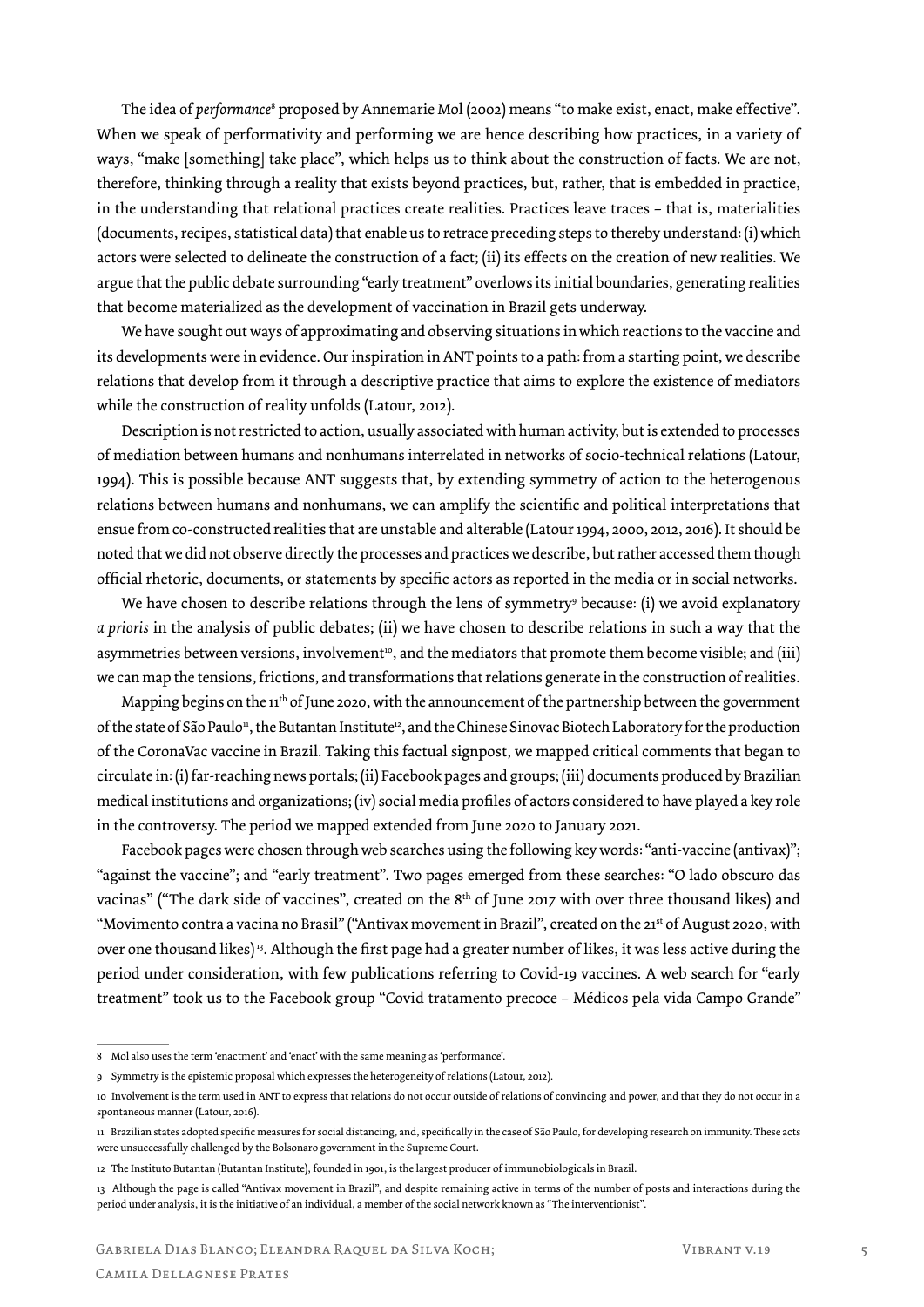The idea of *performance*8 proposed by Annemarie Mol (2002) means "to make exist, enact, make effective". When we speak of performativity and performing we are hence describing how practices, in a variety of ways, "make [something] take place", which helps us to think about the construction of facts. We are not, therefore, thinking through a reality that exists beyond practices, but, rather, that is embedded in practice, in the understanding that relational practices create realities. Practices leave traces – that is, materialities (documents, recipes, statistical data) that enable us to retrace preceding steps to thereby understand: (i) which actors were selected to delineate the construction of a fact; (ii) its effects on the creation of new realities. We argue that the public debate surrounding "early treatment" overlows its initial boundaries, generating realities that become materialized as the development of vaccination in Brazil gets underway.

We have sought out ways of approximating and observing situations in which reactions to the vaccine and its developments were in evidence. Our inspiration in ANT points to a path: from a starting point, we describe relations that develop from it through a descriptive practice that aims to explore the existence of mediators while the construction of reality unfolds (Latour, 2012).

Description is not restricted to action, usually associated with human activity, but is extended to processes of mediation between humans and nonhumans interrelated in networks of socio-technical relations (Latour, 1994). This is possible because ANT suggests that, by extending symmetry of action to the heterogenous relations between humans and nonhumans, we can amplify the scientific and political interpretations that ensue from co-constructed realities that are unstable and alterable (Latour 1994, 2000, 2012, 2016). It should be noted that we did not observe directly the processes and practices we describe, but rather accessed them though official rhetoric, documents, or statements by specific actors as reported in the media or in social networks.

We have chosen to describe relations through the lens of symmetry<sup>9</sup> because: (i) we avoid explanatory *a prioris* in the analysis of public debates; (ii) we have chosen to describe relations in such a way that the asymmetries between versions, involvement<sup>10</sup>, and the mediators that promote them become visible; and (iii) we can map the tensions, frictions, and transformations that relations generate in the construction of realities.

Mapping begins on the  $11<sup>th</sup>$  of June 2020, with the announcement of the partnership between the government of the state of São Paulo<sup>11</sup>, the Butantan Institute<sup>12</sup>, and the Chinese Sinovac Biotech Laboratory for the production of the CoronaVac vaccine in Brazil. Taking this factual signpost, we mapped critical comments that began to circulate in: (i) far-reaching news portals; (ii) Facebook pages and groups; (iii) documents produced by Brazilian medical institutions and organizations; (iv) social media profiles of actors considered to have played a key role in the controversy. The period we mapped extended from June 2020 to January 2021.

Facebook pages were chosen through web searches using the following key words: "anti-vaccine (antivax)"; "against the vaccine"; and "early treatment". Two pages emerged from these searches: "O lado obscuro das vacinas" ("The dark side of vaccines", created on the 8<sup>th</sup> of June 2017 with over three thousand likes) and "Movimento contra a vacina no Brasil" ("Antivax movement in Brazil", created on the 21<sup>st</sup> of August 2020, with over one thousand likes) 13. Although the first page had a greater number of likes, it was less active during the period under consideration, with few publications referring to Covid-19 vaccines. A web search for "early treatment" took us to the Facebook group "Covid tratamento precoce – Médicos pela vida Campo Grande"

<sup>8</sup> Mol also uses the term 'enactment' and 'enact' with the same meaning as 'performance'.

<sup>9</sup> Symmetry is the epistemic proposal which expresses the heterogeneity of relations (Latour, 2012).

<sup>10</sup> Involvement is the term used in ANT to express that relations do not occur outside of relations of convincing and power, and that they do not occur in a spontaneous manner (Latour, 2016).

<sup>11</sup> Brazilian states adopted specific measures for social distancing, and, specifically in the case of São Paulo, for developing research on immunity. These acts were unsuccessfully challenged by the Bolsonaro government in the Supreme Court.

<sup>12</sup> The Instituto Butantan (Butantan Institute), founded in 1901, is the largest producer of immunobiologicals in Brazil.

<sup>13</sup> Although the page is called "Antivax movement in Brazil", and despite remaining active in terms of the number of posts and interactions during the period under analysis, it is the initiative of an individual, a member of the social network known as "The interventionist".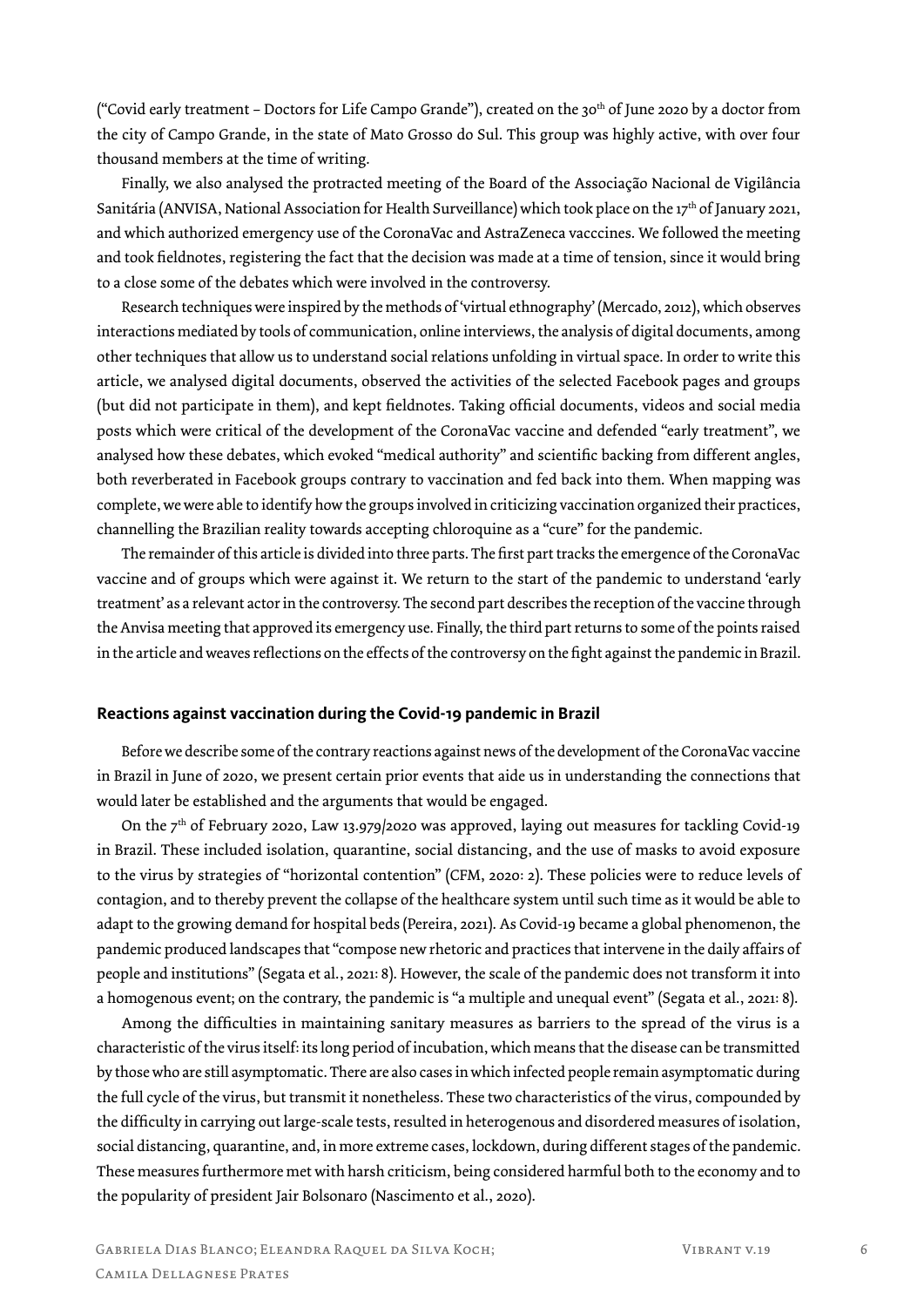("Covid early treatment – Doctors for Life Campo Grande"), created on the 30th of June 2020 by a doctor from the city of Campo Grande, in the state of Mato Grosso do Sul. This group was highly active, with over four thousand members at the time of writing.

Finally, we also analysed the protracted meeting of the Board of the Associação Nacional de Vigilância Sanitária (ANVISA, National Association for Health Surveillance) which took place on the 17th of January 2021, and which authorized emergency use of the CoronaVac and AstraZeneca vacccines. We followed the meeting and took fieldnotes, registering the fact that the decision was made at a time of tension, since it would bring to a close some of the debates which were involved in the controversy.

Research techniques were inspired by the methods of 'virtual ethnography' (Mercado, 2012), which observes interactions mediated by tools of communication, online interviews, the analysis of digital documents, among other techniques that allow us to understand social relations unfolding in virtual space. In order to write this article, we analysed digital documents, observed the activities of the selected Facebook pages and groups (but did not participate in them), and kept fieldnotes. Taking official documents, videos and social media posts which were critical of the development of the CoronaVac vaccine and defended "early treatment", we analysed how these debates, which evoked "medical authority" and scientific backing from different angles, both reverberated in Facebook groups contrary to vaccination and fed back into them. When mapping was complete, we were able to identify how the groups involved in criticizing vaccination organized their practices, channelling the Brazilian reality towards accepting chloroquine as a "cure" for the pandemic.

The remainder of this article is divided into three parts. The first part tracks the emergence of the CoronaVac vaccine and of groups which were against it. We return to the start of the pandemic to understand 'early treatment' as a relevant actor in the controversy. The second part describes the reception of the vaccine through the Anvisa meeting that approved its emergency use. Finally, the third part returns to some of the points raised in the article and weaves reflections on the effects of the controversy on the fight against the pandemic in Brazil.

#### **Reactions against vaccination during the Covid-19 pandemic in Brazil**

Before we describe some of the contrary reactions against news of the development of the CoronaVac vaccine in Brazil in June of 2020, we present certain prior events that aide us in understanding the connections that would later be established and the arguments that would be engaged.

On the  $7<sup>th</sup>$  of February 2020, Law 13.979/2020 was approved, laying out measures for tackling Covid-19 in Brazil. These included isolation, quarantine, social distancing, and the use of masks to avoid exposure to the virus by strategies of "horizontal contention" (CFM, 2020: 2). These policies were to reduce levels of contagion, and to thereby prevent the collapse of the healthcare system until such time as it would be able to adapt to the growing demand for hospital beds (Pereira, 2021). As Covid-19 became a global phenomenon, the pandemic produced landscapes that "compose new rhetoric and practices that intervene in the daily affairs of people and institutions" (Segata et al., 2021: 8). However, the scale of the pandemic does not transform it into a homogenous event; on the contrary, the pandemic is "a multiple and unequal event" (Segata et al., 2021: 8).

Among the difficulties in maintaining sanitary measures as barriers to the spread of the virus is a characteristic of the virus itself: its long period of incubation, which means that the disease can be transmitted by those who are still asymptomatic. There are also cases in which infected people remain asymptomatic during the full cycle of the virus, but transmit it nonetheless. These two characteristics of the virus, compounded by the difficulty in carrying out large-scale tests, resulted in heterogenous and disordered measures of isolation, social distancing, quarantine, and, in more extreme cases, lockdown, during different stages of the pandemic. These measures furthermore met with harsh criticism, being considered harmful both to the economy and to the popularity of president Jair Bolsonaro (Nascimento et al., 2020).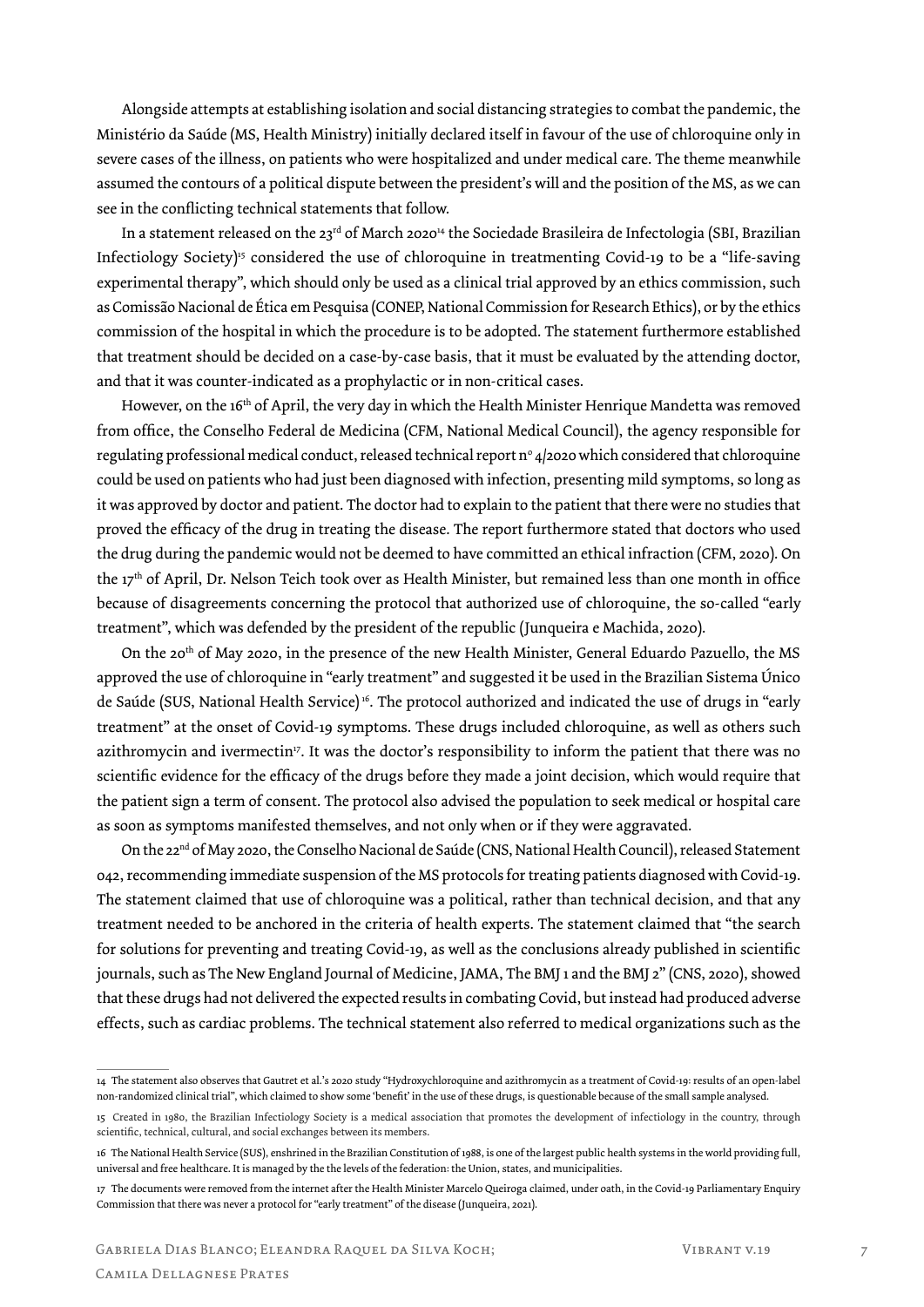Alongside attempts at establishing isolation and social distancing strategies to combat the pandemic, the Ministério da Saúde (MS, Health Ministry) initially declared itself in favour of the use of chloroquine only in severe cases of the illness, on patients who were hospitalized and under medical care. The theme meanwhile assumed the contours of a political dispute between the president's will and the position of the MS, as we can see in the conflicting technical statements that follow.

In a statement released on the 23rd of March 2020<sup>14</sup> the Sociedade Brasileira de Infectologia (SBI, Brazilian Infectiology Society)<sup>15</sup> considered the use of chloroquine in treatmenting Covid-19 to be a "life-saving" experimental therapy", which should only be used as a clinical trial approved by an ethics commission, such as Comissão Nacional de Ética em Pesquisa (CONEP, National Commission for Research Ethics), or by the ethics commission of the hospital in which the procedure is to be adopted. The statement furthermore established that treatment should be decided on a case-by-case basis, that it must be evaluated by the attending doctor, and that it was counter-indicated as a prophylactic or in non-critical cases.

However, on the 16<sup>th</sup> of April, the very day in which the Health Minister Henrique Mandetta was removed from office, the Conselho Federal de Medicina (CFM, National Medical Council), the agency responsible for regulating professional medical conduct, released technical report n° 4/2020 which considered that chloroquine could be used on patients who had just been diagnosed with infection, presenting mild symptoms, so long as it was approved by doctor and patient. The doctor had to explain to the patient that there were no studies that proved the efficacy of the drug in treating the disease. The report furthermore stated that doctors who used the drug during the pandemic would not be deemed to have committed an ethical infraction (CFM, 2020). On the 17<sup>th</sup> of April, Dr. Nelson Teich took over as Health Minister, but remained less than one month in office because of disagreements concerning the protocol that authorized use of chloroquine, the so-called "early treatment", which was defended by the president of the republic (Junqueira e Machida, 2020).

On the 20th of May 2020, in the presence of the new Health Minister, General Eduardo Pazuello, the MS approved the use of chloroquine in "early treatment" and suggested it be used in the Brazilian Sistema Único de Saúde (SUS, National Health Service) 16. The protocol authorized and indicated the use of drugs in "early treatment" at the onset of Covid-19 symptoms. These drugs included chloroquine, as well as others such azithromycin and ivermectin<sup>17</sup>. It was the doctor's responsibility to inform the patient that there was no scientific evidence for the efficacy of the drugs before they made a joint decision, which would require that the patient sign a term of consent. The protocol also advised the population to seek medical or hospital care as soon as symptoms manifested themselves, and not only when or if they were aggravated.

On the 22<sup>nd</sup> of May 2020, the Conselho Nacional de Saúde (CNS, National Health Council), released Statement 042, recommending immediate suspension of the MS protocols for treating patients diagnosed with Covid-19. The statement claimed that use of chloroquine was a political, rather than technical decision, and that any treatment needed to be anchored in the criteria of health experts. The statement claimed that "the search for solutions for preventing and treating Covid-19, as well as the conclusions already published in scientific journals, such as The New England Journal of Medicine, JAMA, The BMJ 1 and the BMJ 2" (CNS, 2020), showed that these drugs had not delivered the expected results in combating Covid, but instead had produced adverse effects, such as cardiac problems. The technical statement also referred to medical organizations such as the

<sup>14</sup> The statement also observes that Gautret et al.'s 2020 study "Hydroxychloroquine and azithromycin as a treatment of Covid-19: results of an open-label non-randomized clinical trial", which claimed to show some 'benefit' in the use of these drugs, is questionable because of the small sample analysed.

<sup>15</sup> Created in 1980, the Brazilian Infectiology Society is a medical association that promotes the development of infectiology in the country, through scientific, technical, cultural, and social exchanges between its members.

<sup>16</sup> The National Health Service (SUS), enshrined in the Brazilian Constitution of 1988, is one of the largest public health systems in the world providing full, universal and free healthcare. It is managed by the the levels of the federation: the Union, states, and municipalities.

<sup>17</sup> The documents were removed from the internet after the Health Minister Marcelo Queiroga claimed, under oath, in the Covid-19 Parliamentary Enquiry Commission that there was never a protocol for "early treatment" of the disease (Junqueira, 2021).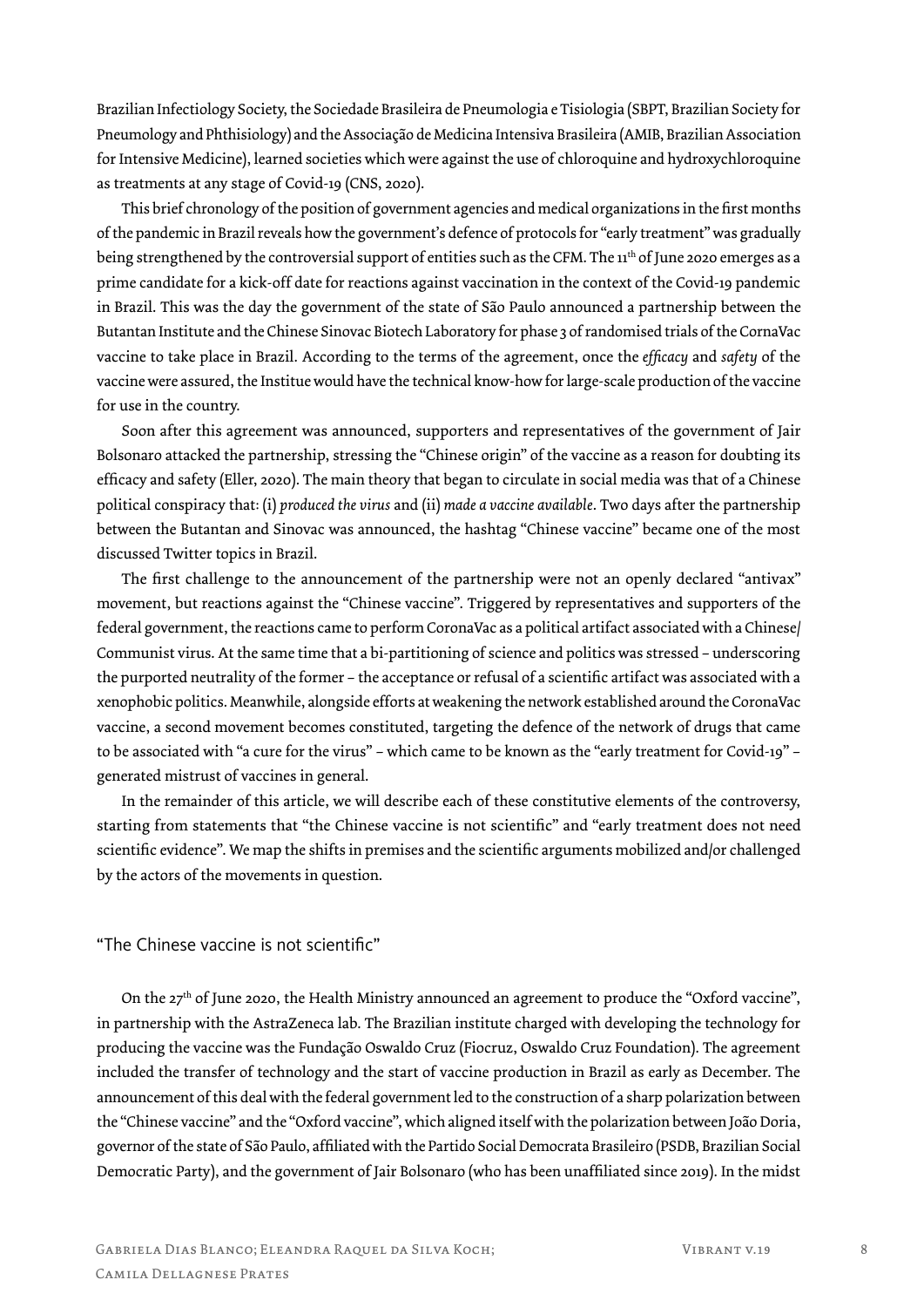Brazilian Infectiology Society, the Sociedade Brasileira de Pneumologia e Tisiologia (SBPT, Brazilian Society for Pneumology and Phthisiology) and the Associação de Medicina Intensiva Brasileira (AMIB, Brazilian Association for Intensive Medicine), learned societies which were against the use of chloroquine and hydroxychloroquine as treatments at any stage of Covid-19 (CNS, 2020).

This brief chronology of the position of government agencies and medical organizations in the first months of the pandemic in Brazil reveals how the government's defence of protocols for "early treatment" was gradually being strengthened by the controversial support of entities such as the CFM. The 11<sup>th</sup> of June 2020 emerges as a prime candidate for a kick-off date for reactions against vaccination in the context of the Covid-19 pandemic in Brazil. This was the day the government of the state of São Paulo announced a partnership between the Butantan Institute and the Chinese Sinovac Biotech Laboratory for phase 3 of randomised trials of the CornaVac vaccine to take place in Brazil. According to the terms of the agreement, once the *efficacy* and *safety* of the vaccine were assured, the Institue would have the technical know-how for large-scale production of the vaccine for use in the country.

Soon after this agreement was announced, supporters and representatives of the government of Jair Bolsonaro attacked the partnership, stressing the "Chinese origin" of the vaccine as a reason for doubting its efficacy and safety (Eller, 2020). The main theory that began to circulate in social media was that of a Chinese political conspiracy that: (i) *produced the virus* and (ii) *made a vaccine available*. Two days after the partnership between the Butantan and Sinovac was announced, the hashtag "Chinese vaccine" became one of the most discussed Twitter topics in Brazil.

The first challenge to the announcement of the partnership were not an openly declared "antivax" movement, but reactions against the "Chinese vaccine". Triggered by representatives and supporters of the federal government, the reactions came to perform CoronaVac as a political artifact associated with a Chinese/ Communist virus. At the same time that a bi-partitioning of science and politics was stressed – underscoring the purported neutrality of the former – the acceptance or refusal of a scientific artifact was associated with a xenophobic politics. Meanwhile, alongside efforts at weakening the network established around the CoronaVac vaccine, a second movement becomes constituted, targeting the defence of the network of drugs that came to be associated with "a cure for the virus" – which came to be known as the "early treatment for Covid-19" – generated mistrust of vaccines in general.

In the remainder of this article, we will describe each of these constitutive elements of the controversy, starting from statements that "the Chinese vaccine is not scientific" and "early treatment does not need scientific evidence". We map the shifts in premises and the scientific arguments mobilized and/or challenged by the actors of the movements in question.

#### "The Chinese vaccine is not scientific"

On the 27<sup>th</sup> of June 2020, the Health Ministry announced an agreement to produce the "Oxford vaccine", in partnership with the AstraZeneca lab. The Brazilian institute charged with developing the technology for producing the vaccine was the Fundação Oswaldo Cruz (Fiocruz, Oswaldo Cruz Foundation). The agreement included the transfer of technology and the start of vaccine production in Brazil as early as December. The announcement of this deal with the federal government led to the construction of a sharp polarization between the "Chinese vaccine" and the "Oxford vaccine", which aligned itself with the polarization between João Doria, governor of the state of São Paulo, affiliated with the Partido Social Democrata Brasileiro (PSDB, Brazilian Social Democratic Party), and the government of Jair Bolsonaro (who has been unaffiliated since 2019). In the midst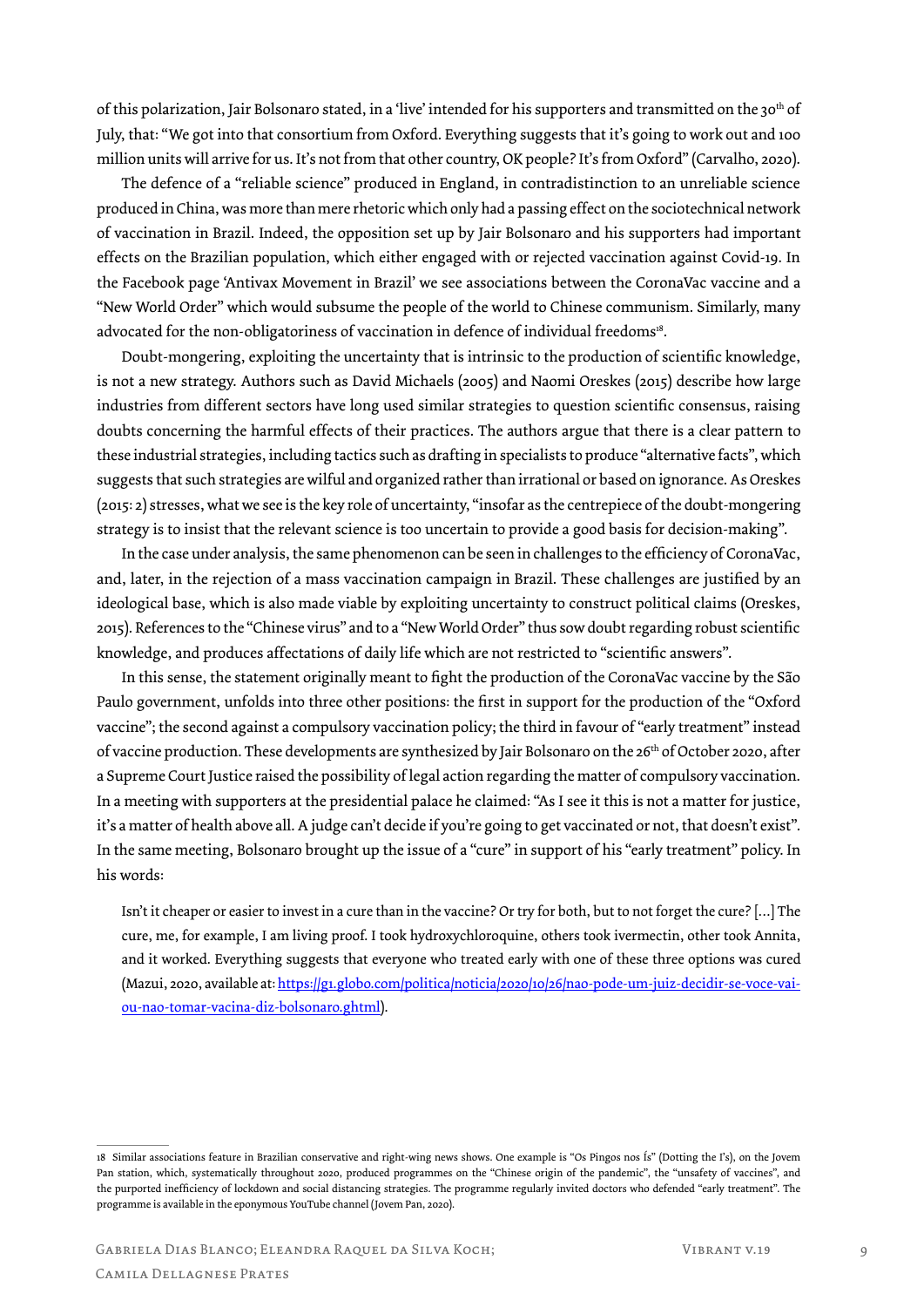of this polarization, Jair Bolsonaro stated, in a 'live' intended for his supporters and transmitted on the 30<sup>th</sup> of July, that: "We got into that consortium from Oxford. Everything suggests that it's going to work out and 100 million units will arrive for us. It's not from that other country, OK people? It's from Oxford" (Carvalho, 2020).

The defence of a "reliable science" produced in England, in contradistinction to an unreliable science produced in China, was more than mere rhetoric which only had a passing effect on the sociotechnical network of vaccination in Brazil. Indeed, the opposition set up by Jair Bolsonaro and his supporters had important effects on the Brazilian population, which either engaged with or rejected vaccination against Covid-19. In the Facebook page 'Antivax Movement in Brazil' we see associations between the CoronaVac vaccine and a "New World Order" which would subsume the people of the world to Chinese communism. Similarly, many advocated for the non-obligatoriness of vaccination in defence of individual freedoms<sup>18</sup>.

Doubt-mongering, exploiting the uncertainty that is intrinsic to the production of scientific knowledge, is not a new strategy. Authors such as David Michaels (2005) and Naomi Oreskes (2015) describe how large industries from different sectors have long used similar strategies to question scientific consensus, raising doubts concerning the harmful effects of their practices. The authors argue that there is a clear pattern to these industrial strategies, including tactics such as drafting in specialists to produce "alternative facts", which suggests that such strategies are wilful and organized rather than irrational or based on ignorance. As Oreskes (2015: 2) stresses, what we see is the key role of uncertainty, "insofar as the centrepiece of the doubt-mongering strategy is to insist that the relevant science is too uncertain to provide a good basis for decision-making".

In the case under analysis, the same phenomenon can be seen in challenges to the efficiency of CoronaVac, and, later, in the rejection of a mass vaccination campaign in Brazil. These challenges are justified by an ideological base, which is also made viable by exploiting uncertainty to construct political claims (Oreskes, 2015). References to the "Chinese virus" and to a "New World Order" thus sow doubt regarding robust scientific knowledge, and produces affectations of daily life which are not restricted to "scientific answers".

In this sense, the statement originally meant to fight the production of the CoronaVac vaccine by the São Paulo government, unfolds into three other positions: the first in support for the production of the "Oxford vaccine"; the second against a compulsory vaccination policy; the third in favour of "early treatment" instead of vaccine production. These developments are synthesized by Jair Bolsonaro on the 26th of October 2020, after a Supreme Court Justice raised the possibility of legal action regarding the matter of compulsory vaccination. In a meeting with supporters at the presidential palace he claimed: "As I see it this is not a matter for justice, it's a matter of health above all. A judge can't decide if you're going to get vaccinated or not, that doesn't exist". In the same meeting, Bolsonaro brought up the issue of a "cure" in support of his "early treatment" policy. In his words:

Isn't it cheaper or easier to invest in a cure than in the vaccine? Or try for both, but to not forget the cure? […] The cure, me, for example, I am living proof. I took hydroxychloroquine, others took ivermectin, other took Annita, and it worked. Everything suggests that everyone who treated early with one of these three options was cured (Mazui, 2020, available at: https://g1.globo.com/politica/noticia/2020/10/26/nao-pode-um-juiz-decidir-se-voce-vaiou-nao-tomar-vacina-diz-bolsonaro.ghtml).

<sup>18</sup> Similar associations feature in Brazilian conservative and right-wing news shows. One example is "Os Pingos nos Ís" (Dotting the I's), on the Jovem Pan station, which, systematically throughout 2020, produced programmes on the "Chinese origin of the pandemic", the "unsafety of vaccines", and the purported inefficiency of lockdown and social distancing strategies. The programme regularly invited doctors who defended "early treatment". The programme is available in the eponymous YouTube channel (Jovem Pan, 2020).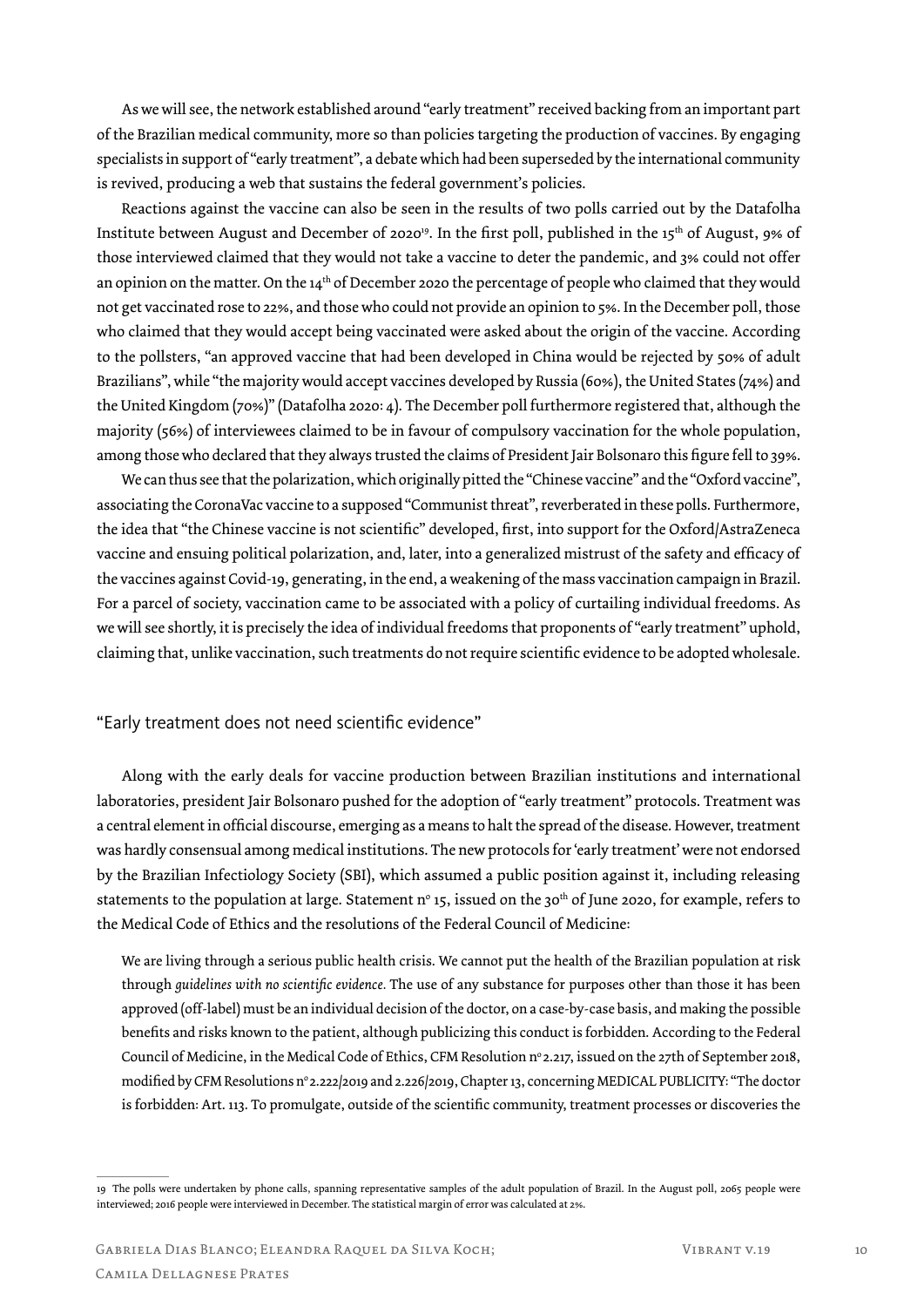As we will see, the network established around "early treatment" received backing from an important part of the Brazilian medical community, more so than policies targeting the production of vaccines. By engaging specialists in support of "early treatment", a debate which had been superseded by the international community is revived, producing a web that sustains the federal government's policies.

Reactions against the vaccine can also be seen in the results of two polls carried out by the Datafolha Institute between August and December of 2020<sup>19</sup>. In the first poll, published in the 15<sup>th</sup> of August, 9% of those interviewed claimed that they would not take a vaccine to deter the pandemic, and 3% could not offer an opinion on the matter. On the  $14<sup>th</sup>$  of December 2020 the percentage of people who claimed that they would not get vaccinated rose to 22%, and those who could not provide an opinion to 5%. In the December poll, those who claimed that they would accept being vaccinated were asked about the origin of the vaccine. According to the pollsters, "an approved vaccine that had been developed in China would be rejected by 50% of adult Brazilians", while "the majority would accept vaccines developed by Russia (60%), the United States (74%) and the United Kingdom (70%)" (Datafolha 2020: 4). The December poll furthermore registered that, although the majority (56%) of interviewees claimed to be in favour of compulsory vaccination for the whole population, among those who declared that they always trusted the claims of President Jair Bolsonaro this figure fell to 39%.

We can thus see that the polarization, which originally pitted the "Chinese vaccine" and the "Oxford vaccine", associating the CoronaVac vaccine to a supposed "Communist threat", reverberated in these polls. Furthermore, the idea that "the Chinese vaccine is not scientific" developed, first, into support for the Oxford/AstraZeneca vaccine and ensuing political polarization, and, later, into a generalized mistrust of the safety and efficacy of the vaccines against Covid-19, generating, in the end, a weakening of the mass vaccination campaign in Brazil. For a parcel of society, vaccination came to be associated with a policy of curtailing individual freedoms. As we will see shortly, it is precisely the idea of individual freedoms that proponents of "early treatment" uphold, claiming that, unlike vaccination, such treatments do not require scientific evidence to be adopted wholesale.

"Early treatment does not need scientific evidence"

Along with the early deals for vaccine production between Brazilian institutions and international laboratories, president Jair Bolsonaro pushed for the adoption of "early treatment" protocols. Treatment was a central element in official discourse, emerging as a means to halt the spread of the disease. However, treatment was hardly consensual among medical institutions. The new protocols for 'early treatment' were not endorsed by the Brazilian Infectiology Society (SBI), which assumed a public position against it, including releasing statements to the population at large. Statement n° 15, issued on the 30<sup>th</sup> of June 2020, for example, refers to the Medical Code of Ethics and the resolutions of the Federal Council of Medicine:

We are living through a serious public health crisis. We cannot put the health of the Brazilian population at risk through *guidelines with no scientific evidence.* The use of any substance for purposes other than those it has been approved (off-label) must be an individual decision of the doctor, on a case-by-case basis, and making the possible benefits and risks known to the patient, although publicizing this conduct is forbidden. According to the Federal Council of Medicine, in the Medical Code of Ethics, CFM Resolution n° 2.217, issued on the 27th of September 2018, modified by CFM Resolutions n° 2.222/2019 and 2.226/2019, Chapter 13, concerning MEDICAL PUBLICITY: "The doctor is forbidden: Art. 113. To promulgate, outside of the scientific community, treatment processes or discoveries the

<sup>19</sup> The polls were undertaken by phone calls, spanning representative samples of the adult population of Brazil. In the August poll, 2065 people were interviewed; 2016 people were interviewed in December. The statistical margin of error was calculated at 2%.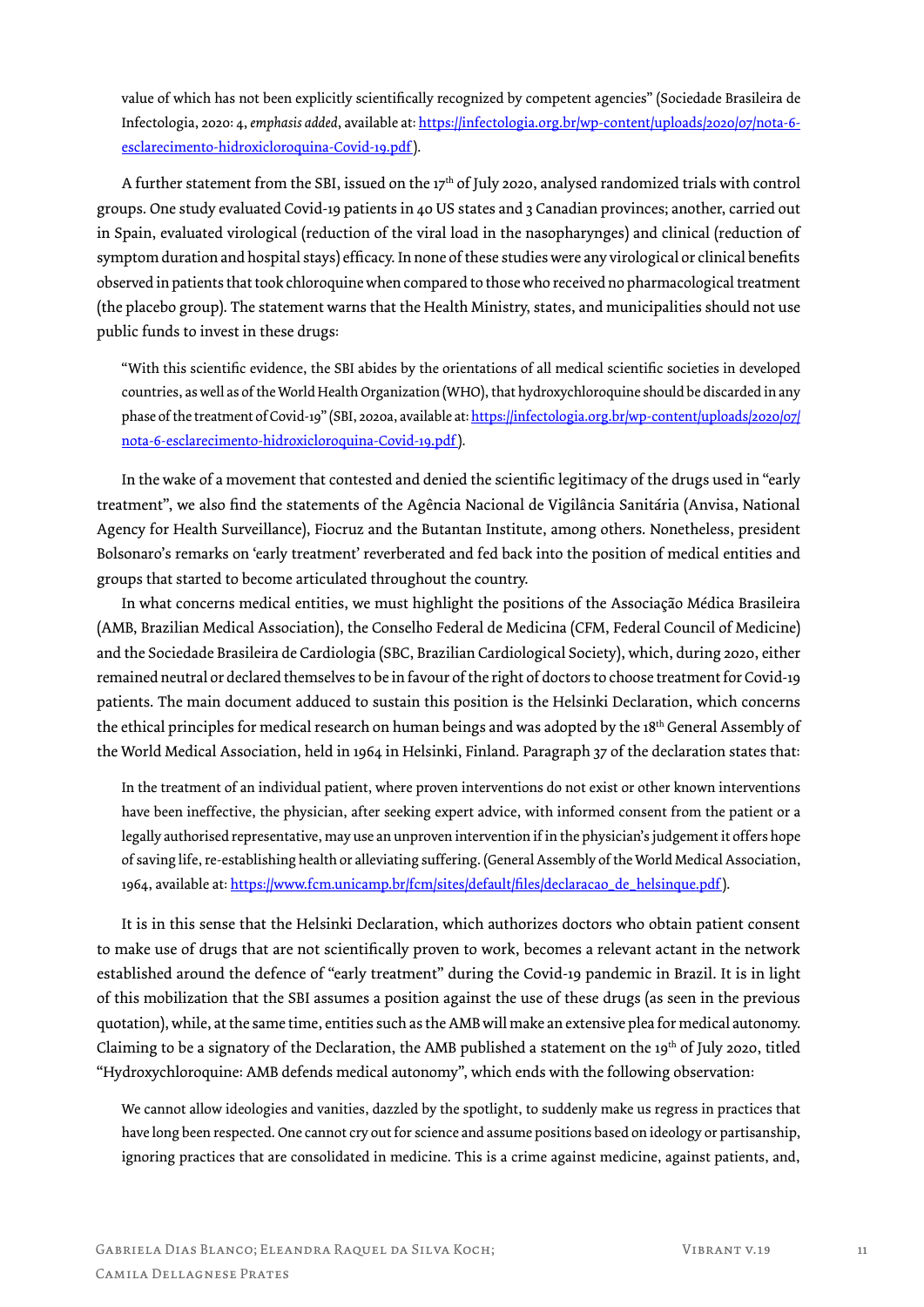value of which has not been explicitly scientifically recognized by competent agencies" (Sociedade Brasileira de Infectologia, 2020: 4, *emphasis added*, available at: https://infectologia.org.br/wp-content/uploads/2020/07/nota-6 esclarecimento-hidroxicloroquina-Covid-19.pdf).

A further statement from the SBI, issued on the  $17<sup>th</sup>$  of July 2020, analysed randomized trials with control groups. One study evaluated Covid-19 patients in 40 US states and 3 Canadian provinces; another, carried out in Spain, evaluated virological (reduction of the viral load in the nasopharynges) and clinical (reduction of symptom duration and hospital stays) efficacy. In none of these studies were any virological or clinical benefits observed in patients that took chloroquine when compared to those who received no pharmacological treatment (the placebo group). The statement warns that the Health Ministry, states, and municipalities should not use public funds to invest in these drugs:

"With this scientific evidence, the SBI abides by the orientations of all medical scientific societies in developed countries, as well as of the World Health Organization (WHO), that hydroxychloroquine should be discarded in any phase of the treatment of Covid-19" (SBI, 2020a, available at: https://infectologia.org.br/wp-content/uploads/2020/07/ nota-6-esclarecimento-hidroxicloroquina-Covid-19.pdf).

In the wake of a movement that contested and denied the scientific legitimacy of the drugs used in "early treatment", we also find the statements of the Agência Nacional de Vigilância Sanitária (Anvisa, National Agency for Health Surveillance), Fiocruz and the Butantan Institute, among others. Nonetheless, president Bolsonaro's remarks on 'early treatment' reverberated and fed back into the position of medical entities and groups that started to become articulated throughout the country.

In what concerns medical entities, we must highlight the positions of the Associação Médica Brasileira (AMB, Brazilian Medical Association), the Conselho Federal de Medicina (CFM, Federal Council of Medicine) and the Sociedade Brasileira de Cardiologia (SBC, Brazilian Cardiological Society), which, during 2020, either remained neutral or declared themselves to be in favour of the right of doctors to choose treatment for Covid-19 patients. The main document adduced to sustain this position is the Helsinki Declaration, which concerns the ethical principles for medical research on human beings and was adopted by the 18th General Assembly of the World Medical Association, held in 1964 in Helsinki, Finland. Paragraph 37 of the declaration states that:

In the treatment of an individual patient, where proven interventions do not exist or other known interventions have been ineffective, the physician, after seeking expert advice, with informed consent from the patient or a legally authorised representative, may use an unproven intervention if in the physician's judgement it offers hope of saving life, re-establishing health or alleviating suffering. (General Assembly of the World Medical Association, 1964, available at: https://www.fcm.unicamp.br/fcm/sites/default/files/declaracao\_de\_helsinque.pdf).

It is in this sense that the Helsinki Declaration, which authorizes doctors who obtain patient consent to make use of drugs that are not scientifically proven to work, becomes a relevant actant in the network established around the defence of "early treatment" during the Covid-19 pandemic in Brazil. It is in light of this mobilization that the SBI assumes a position against the use of these drugs (as seen in the previous quotation), while, at the same time, entities such as the AMB will make an extensive plea for medical autonomy. Claiming to be a signatory of the Declaration, the AMB published a statement on the 19th of July 2020, titled "Hydroxychloroquine: AMB defends medical autonomy", which ends with the following observation:

We cannot allow ideologies and vanities, dazzled by the spotlight, to suddenly make us regress in practices that have long been respected. One cannot cry out for science and assume positions based on ideology or partisanship, ignoring practices that are consolidated in medicine. This is a crime against medicine, against patients, and,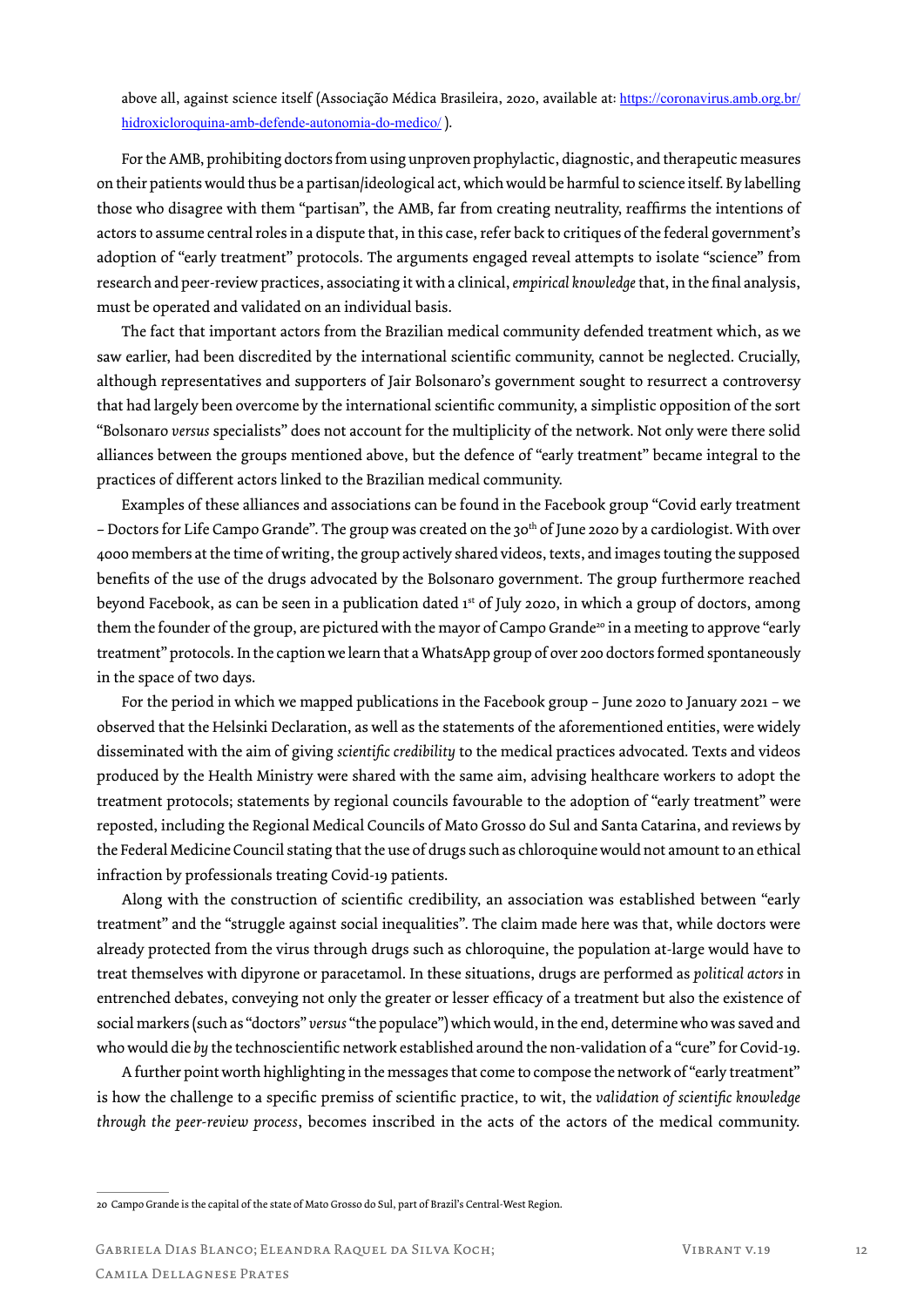above all, against science itself (Associação Médica Brasileira, 2020, available at: https://coronavirus.amb.org.br/ hidroxicloroquina-amb-defende-autonomia-do-medico/ ).

For the AMB, prohibiting doctors from using unproven prophylactic, diagnostic, and therapeutic measures on their patients would thus be a partisan/ideological act, which would be harmful to science itself. By labelling those who disagree with them "partisan", the AMB, far from creating neutrality, reaffirms the intentions of actors to assume central roles in a dispute that, in this case, refer back to critiques of the federal government's adoption of "early treatment" protocols. The arguments engaged reveal attempts to isolate "science" from research and peer-review practices, associating it with a clinical, *empirical knowledge* that, in the final analysis, must be operated and validated on an individual basis.

The fact that important actors from the Brazilian medical community defended treatment which, as we saw earlier, had been discredited by the international scientific community, cannot be neglected. Crucially, although representatives and supporters of Jair Bolsonaro's government sought to resurrect a controversy that had largely been overcome by the international scientific community, a simplistic opposition of the sort "Bolsonaro *versus* specialists" does not account for the multiplicity of the network. Not only were there solid alliances between the groups mentioned above, but the defence of "early treatment" became integral to the practices of different actors linked to the Brazilian medical community.

Examples of these alliances and associations can be found in the Facebook group "Covid early treatment – Doctors for Life Campo Grande". The group was created on the 30<sup>th</sup> of June 2020 by a cardiologist. With over 4000 members at the time of writing, the group actively shared videos, texts, and images touting the supposed benefits of the use of the drugs advocated by the Bolsonaro government. The group furthermore reached beyond Facebook, as can be seen in a publication dated 1<sup>st</sup> of July 2020, in which a group of doctors, among them the founder of the group, are pictured with the mayor of Campo Grande<sup>20</sup> in a meeting to approve "early treatment" protocols. In the caption we learn that a WhatsApp group of over 200 doctors formed spontaneously in the space of two days.

For the period in which we mapped publications in the Facebook group – June 2020 to January 2021 – we observed that the Helsinki Declaration, as well as the statements of the aforementioned entities, were widely disseminated with the aim of giving *scientific credibility* to the medical practices advocated. Texts and videos produced by the Health Ministry were shared with the same aim, advising healthcare workers to adopt the treatment protocols; statements by regional councils favourable to the adoption of "early treatment" were reposted, including the Regional Medical Councils of Mato Grosso do Sul and Santa Catarina, and reviews by the Federal Medicine Council stating that the use of drugs such as chloroquine would not amount to an ethical infraction by professionals treating Covid-19 patients.

Along with the construction of scientific credibility, an association was established between "early treatment" and the "struggle against social inequalities". The claim made here was that, while doctors were already protected from the virus through drugs such as chloroquine, the population at-large would have to treat themselves with dipyrone or paracetamol. In these situations, drugs are performed as *political actors* in entrenched debates, conveying not only the greater or lesser efficacy of a treatment but also the existence of social markers (such as "doctors" *versus* "the populace") which would, in the end, determine who was saved and who would die *by* the technoscientific network established around the non-validation of a "cure" for Covid-19.

A further point worth highlighting in the messages that come to compose the network of "early treatment" is how the challenge to a specific premiss of scientific practice, to wit, the *validation of scientific knowledge through the peer-review process*, becomes inscribed in the acts of the actors of the medical community.

<sup>20</sup> Campo Grande is the capital of the state of Mato Grosso do Sul, part of Brazil's Central-West Region.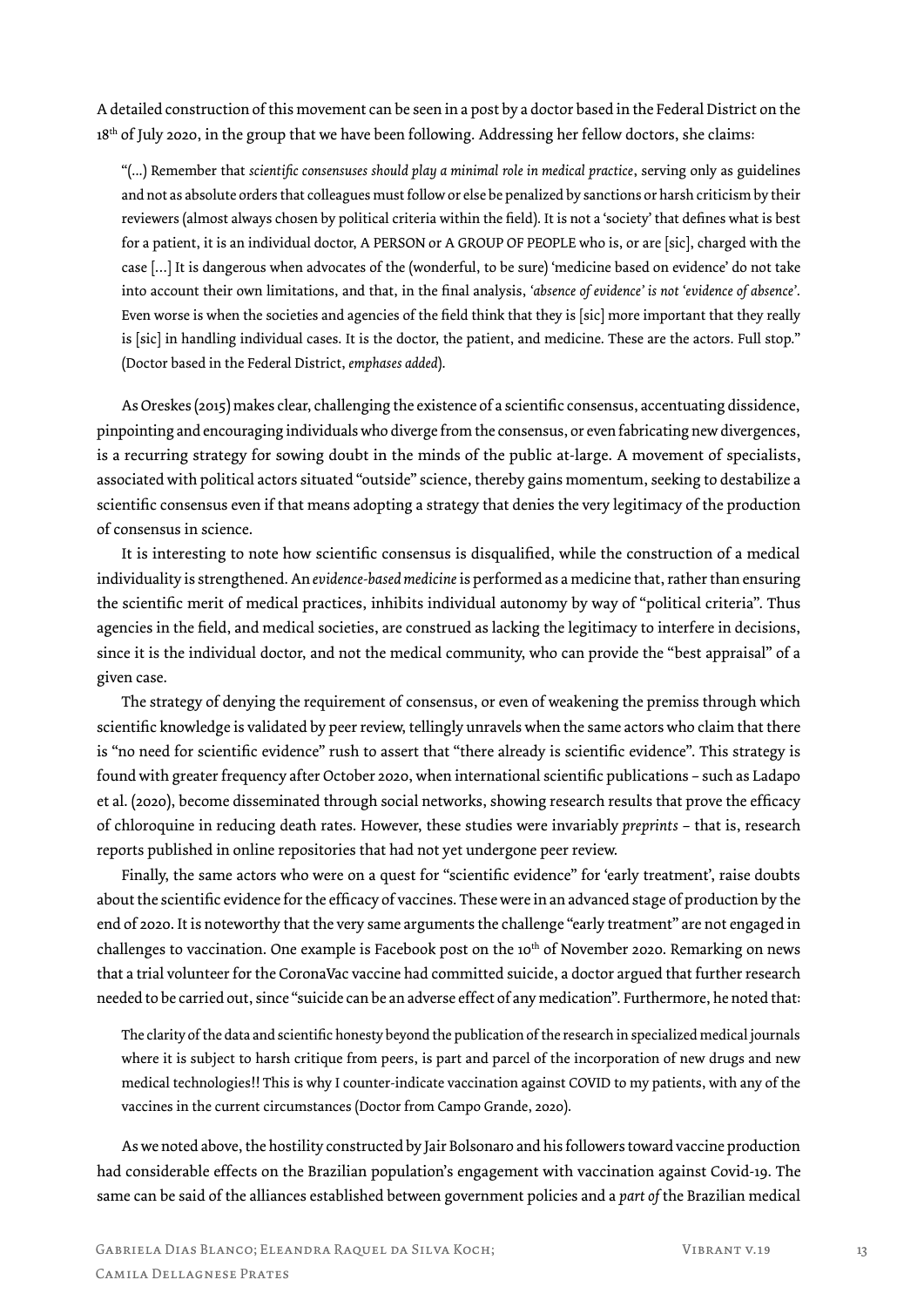A detailed construction of this movement can be seen in a post by a doctor based in the Federal District on the 18<sup>th</sup> of July 2020, in the group that we have been following. Addressing her fellow doctors, she claims:

"(...) Remember that *scientific consensuses should play a minimal role in medical practice*, serving only as guidelines and not as absolute orders that colleagues must follow or else be penalized by sanctions or harsh criticism by their reviewers (almost always chosen by political criteria within the field). It is not a 'society' that defines what is best for a patient, it is an individual doctor, A PERSON or A GROUP OF PEOPLE who is, or are [sic], charged with the case […] It is dangerous when advocates of the (wonderful, to be sure) 'medicine based on evidence' do not take into account their own limitations, and that, in the final analysis, *'absence of evidence' is not 'evidence of absence'*. Even worse is when the societies and agencies of the field think that they is [sic] more important that they really is [sic] in handling individual cases. It is the doctor, the patient, and medicine. These are the actors. Full stop." (Doctor based in the Federal District, *emphases added*).

As Oreskes (2015) makes clear, challenging the existence of a scientific consensus, accentuating dissidence, pinpointing and encouraging individuals who diverge from the consensus, or even fabricating new divergences, is a recurring strategy for sowing doubt in the minds of the public at-large. A movement of specialists, associated with political actors situated "outside" science, thereby gains momentum, seeking to destabilize a scientific consensus even if that means adopting a strategy that denies the very legitimacy of the production of consensus in science.

It is interesting to note how scientific consensus is disqualified, while the construction of a medical individuality is strengthened. An *evidence-based medicine* is performed as a medicine that, rather than ensuring the scientific merit of medical practices, inhibits individual autonomy by way of "political criteria". Thus agencies in the field, and medical societies, are construed as lacking the legitimacy to interfere in decisions, since it is the individual doctor, and not the medical community, who can provide the "best appraisal" of a given case.

The strategy of denying the requirement of consensus, or even of weakening the premiss through which scientific knowledge is validated by peer review, tellingly unravels when the same actors who claim that there is "no need for scientific evidence" rush to assert that "there already is scientific evidence". This strategy is found with greater frequency after October 2020, when international scientific publications – such as Ladapo et al. (2020), become disseminated through social networks, showing research results that prove the efficacy of chloroquine in reducing death rates. However, these studies were invariably *preprints* – that is, research reports published in online repositories that had not yet undergone peer review.

Finally, the same actors who were on a quest for "scientific evidence" for 'early treatment', raise doubts about the scientific evidence for the efficacy of vaccines. These were in an advanced stage of production by the end of 2020. It is noteworthy that the very same arguments the challenge "early treatment" are not engaged in challenges to vaccination. One example is Facebook post on the 10<sup>th</sup> of November 2020. Remarking on news that a trial volunteer for the CoronaVac vaccine had committed suicide, a doctor argued that further research needed to be carried out, since "suicide can be an adverse effect of any medication". Furthermore, he noted that:

The clarity of the data and scientific honesty beyond the publication of the research in specialized medical journals where it is subject to harsh critique from peers, is part and parcel of the incorporation of new drugs and new medical technologies!! This is why I counter-indicate vaccination against COVID to my patients, with any of the vaccines in the current circumstances (Doctor from Campo Grande, 2020).

As we noted above, the hostility constructed by Jair Bolsonaro and his followers toward vaccine production had considerable effects on the Brazilian population's engagement with vaccination against Covid-19. The same can be said of the alliances established between government policies and a *part of* the Brazilian medical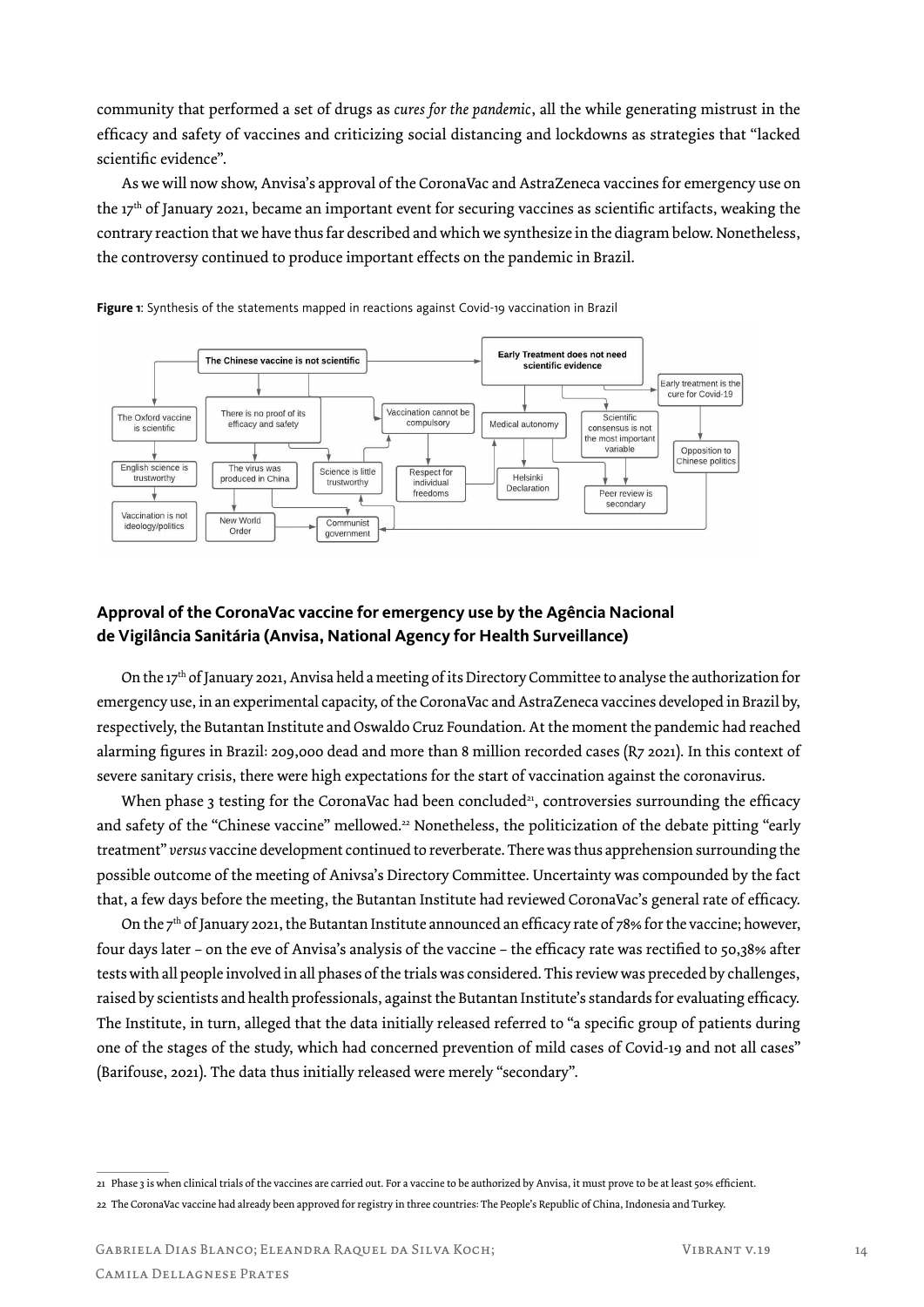community that performed a set of drugs as *cures for the pandemic*, all the while generating mistrust in the efficacy and safety of vaccines and criticizing social distancing and lockdowns as strategies that "lacked scientific evidence".

As we will now show, Anvisa's approval of the CoronaVac and AstraZeneca vaccines for emergency use on the 17th of January 2021, became an important event for securing vaccines as scientific artifacts, weaking the contrary reaction that we have thus far described and which we synthesize in the diagram below. Nonetheless, the controversy continued to produce important effects on the pandemic in Brazil.



**Figure 1**: Synthesis of the statements mapped in reactions against Covid-19 vaccination in Brazil

# **Approval of the CoronaVac vaccine for emergency use by the Agência Nacional de Vigilância Sanitária (Anvisa, National Agency for Health Surveillance)**

On the 17th of January 2021, Anvisa held a meeting of its Directory Committee to analyse the authorization for emergency use, in an experimental capacity, of the CoronaVac and AstraZeneca vaccines developed in Brazil by, respectively, the Butantan Institute and Oswaldo Cruz Foundation. At the moment the pandemic had reached alarming figures in Brazil: 209,000 dead and more than 8 million recorded cases (R7 2021). In this context of severe sanitary crisis, there were high expectations for the start of vaccination against the coronavirus.

When phase 3 testing for the CoronaVac had been concluded<sup>21</sup>, controversies surrounding the efficacy and safety of the "Chinese vaccine" mellowed.22 Nonetheless, the politicization of the debate pitting "early treatment" *versus* vaccine development continued to reverberate. There was thus apprehension surrounding the possible outcome of the meeting of Anivsa's Directory Committee. Uncertainty was compounded by the fact that, a few days before the meeting, the Butantan Institute had reviewed CoronaVac's general rate of efficacy.

On the  $7<sup>th</sup>$  of January 2021, the Butantan Institute announced an efficacy rate of 78% for the vaccine; however, four days later – on the eve of Anvisa's analysis of the vaccine – the efficacy rate was rectified to 50,38% after tests with all people involved in all phases of the trials was considered. This review was preceded by challenges, raised by scientists and health professionals, against the Butantan Institute's standards for evaluating efficacy. The Institute, in turn, alleged that the data initially released referred to "a specific group of patients during one of the stages of the study, which had concerned prevention of mild cases of Covid-19 and not all cases" (Barifouse, 2021). The data thus initially released were merely "secondary".

<sup>21</sup> Phase 3 is when clinical trials of the vaccines are carried out. For a vaccine to be authorized by Anvisa, it must prove to be at least 50% efficient. 22 The CoronaVac vaccine had already been approved for registry in three countries: The People's Republic of China, Indonesia and Turkey.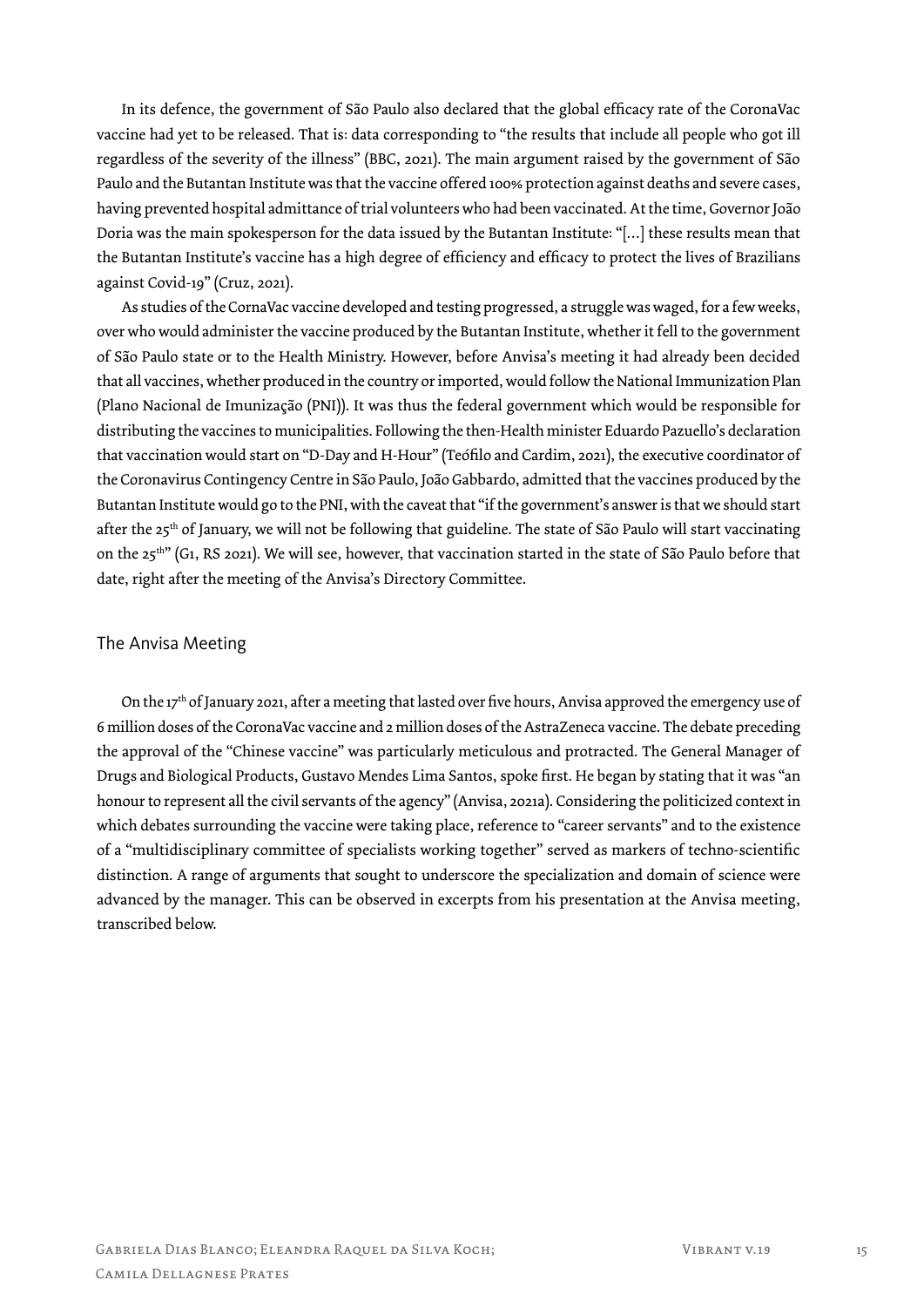In its defence, the government of São Paulo also declared that the global efficacy rate of the CoronaVac vaccine had yet to be released. That is: data corresponding to "the results that include all people who got ill regardless of the severity of the illness" (BBC, 2021). The main argument raised by the government of São Paulo and the Butantan Institute was that the vaccine offered 100% protection against deaths and severe cases, having prevented hospital admittance of trial volunteers who had been vaccinated. At the time, Governor João Doria was the main spokesperson for the data issued by the Butantan Institute: "[…] these results mean that the Butantan Institute's vaccine has a high degree of efficiency and efficacy to protect the lives of Brazilians against Covid-19" (Cruz, 2021).

As studies of the CornaVac vaccine developed and testing progressed, a struggle was waged, for a few weeks, over who would administer the vaccine produced by the Butantan Institute, whether it fell to the government of São Paulo state or to the Health Ministry. However, before Anvisa's meeting it had already been decided that all vaccines, whether produced in the country or imported, would follow the National Immunization Plan (Plano Nacional de Imunização (PNI)). It was thus the federal government which would be responsible for distributing the vaccines to municipalities. Following the then-Health minister Eduardo Pazuello's declaration that vaccination would start on "D-Day and H-Hour" (Teófilo and Cardim, 2021), the executive coordinator of the Coronavirus Contingency Centre in São Paulo, João Gabbardo, admitted that the vaccines produced by the Butantan Institute would go to the PNI, with the caveat that "if the government's answer is that we should start after the 25<sup>th</sup> of January, we will not be following that guideline. The state of São Paulo will start vaccinating on the 25<sup>th"</sup> (G1, RS 2021). We will see, however, that vaccination started in the state of São Paulo before that date, right after the meeting of the Anvisa's Directory Committee.

## The Anvisa Meeting

On the 17th of January 2021, after a meeting that lasted over five hours, Anvisa approved the emergency use of 6 million doses of the CoronaVac vaccine and 2 million doses of the AstraZeneca vaccine. The debate preceding the approval of the "Chinese vaccine" was particularly meticulous and protracted. The General Manager of Drugs and Biological Products, Gustavo Mendes Lima Santos, spoke first. He began by stating that it was "an honour to represent all the civil servants of the agency" (Anvisa, 2021a). Considering the politicized context in which debates surrounding the vaccine were taking place, reference to "career servants" and to the existence of a "multidisciplinary committee of specialists working together" served as markers of techno-scientific distinction. A range of arguments that sought to underscore the specialization and domain of science were advanced by the manager. This can be observed in excerpts from his presentation at the Anvisa meeting, transcribed below.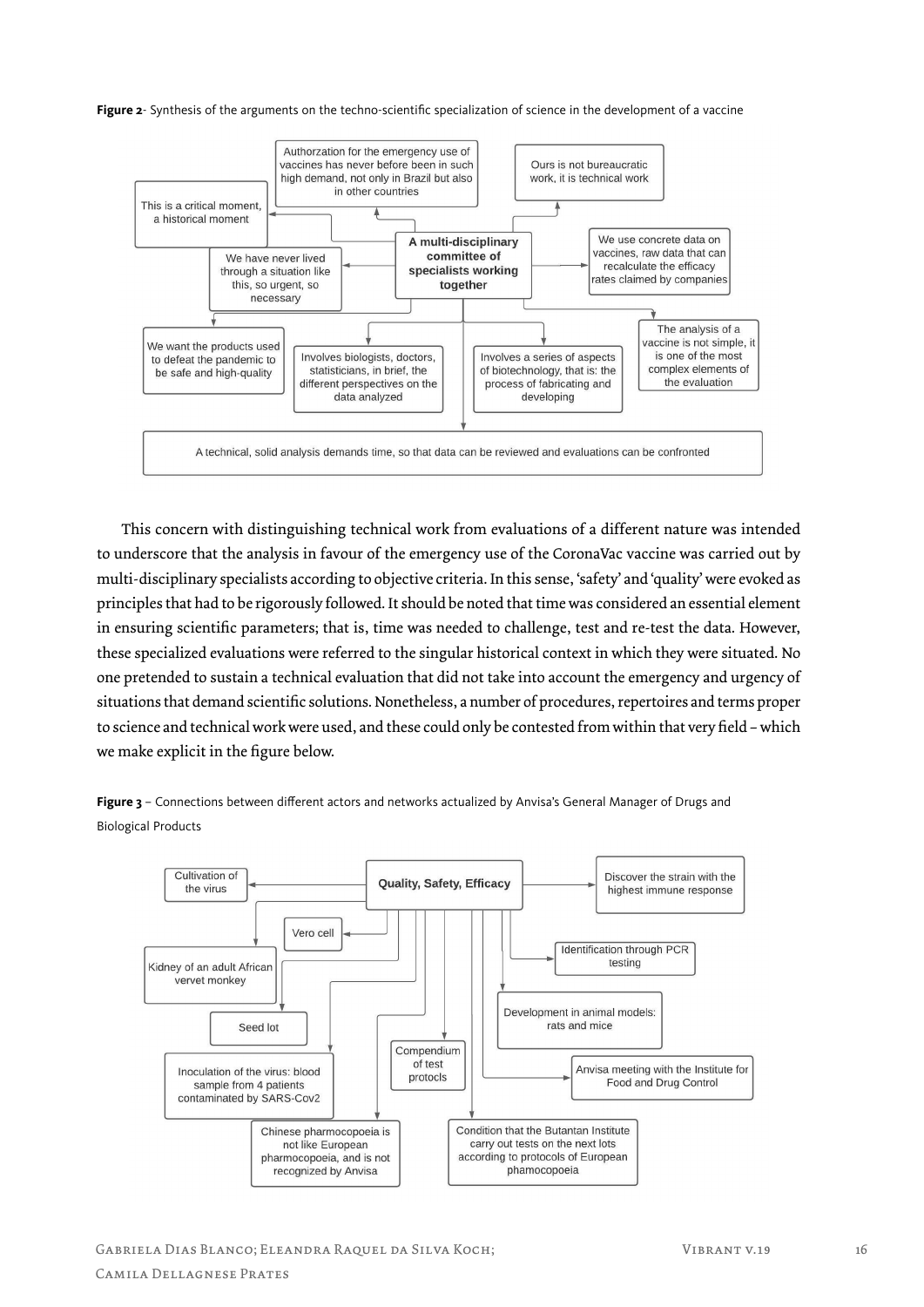Figure 2- Synthesis of the arguments on the techno-scientific specialization of science in the development of a vaccine



This concern with distinguishing technical work from evaluations of a different nature was intended to underscore that the analysis in favour of the emergency use of the CoronaVac vaccine was carried out by multi-disciplinary specialists according to objective criteria. In this sense, 'safety' and 'quality' were evoked as principles that had to be rigorously followed. It should be noted that time was considered an essential element in ensuring scientific parameters; that is, time was needed to challenge, test and re-test the data. However, these specialized evaluations were referred to the singular historical context in which they were situated. No one pretended to sustain a technical evaluation that did not take into account the emergency and urgency of situations that demand scientific solutions. Nonetheless, a number of procedures, repertoires and terms proper to science and technical work were used, and these could only be contested from within that very field – which we make explicit in the figure below.

**Figure 3** – Connections between different actors and networks actualized by Anvisa's General Manager of Drugs and Biological Products

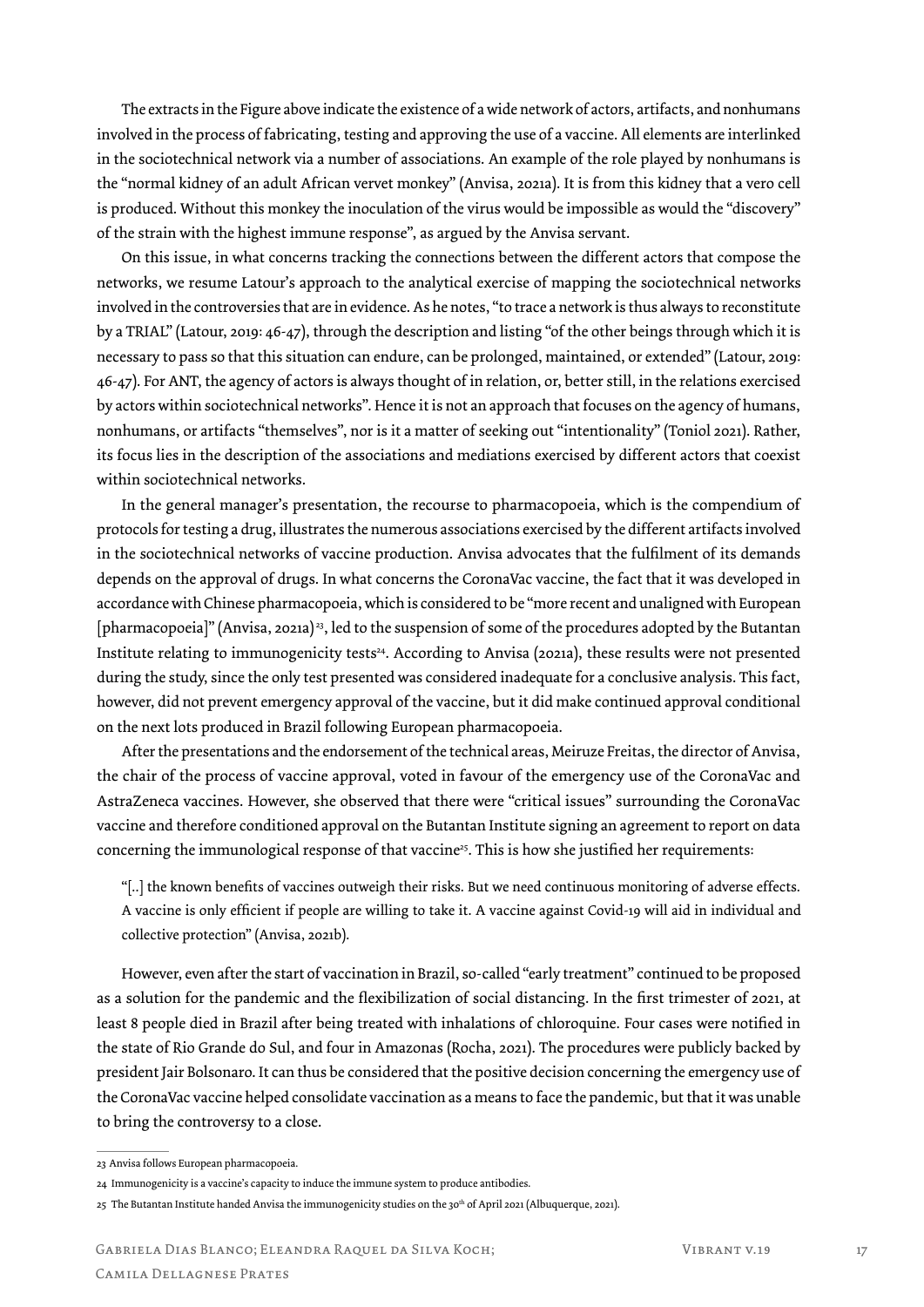The extracts in the Figure above indicate the existence of a wide network of actors, artifacts, and nonhumans involved in the process of fabricating, testing and approving the use of a vaccine. All elements are interlinked in the sociotechnical network via a number of associations. An example of the role played by nonhumans is the "normal kidney of an adult African vervet monkey" (Anvisa, 2021a). It is from this kidney that a vero cell is produced. Without this monkey the inoculation of the virus would be impossible as would the "discovery" of the strain with the highest immune response", as argued by the Anvisa servant.

On this issue, in what concerns tracking the connections between the different actors that compose the networks, we resume Latour's approach to the analytical exercise of mapping the sociotechnical networks involved in the controversies that are in evidence. As he notes, "to trace a network is thus always to reconstitute by a TRIAL" (Latour, 2019: 46-47), through the description and listing "of the other beings through which it is necessary to pass so that this situation can endure, can be prolonged, maintained, or extended" (Latour, 2019: 46-47). For ANT, the agency of actors is always thought of in relation, or, better still, in the relations exercised by actors within sociotechnical networks". Hence it is not an approach that focuses on the agency of humans, nonhumans, or artifacts "themselves", nor is it a matter of seeking out "intentionality" (Toniol 2021). Rather, its focus lies in the description of the associations and mediations exercised by different actors that coexist within sociotechnical networks.

In the general manager's presentation, the recourse to pharmacopoeia, which is the compendium of protocols for testing a drug, illustrates the numerous associations exercised by the different artifacts involved in the sociotechnical networks of vaccine production. Anvisa advocates that the fulfilment of its demands depends on the approval of drugs. In what concerns the CoronaVac vaccine, the fact that it was developed in accordance with Chinese pharmacopoeia, which is considered to be "more recent and unaligned with European [pharmacopoeia]" (Anvisa, 2021a) 23, led to the suspension of some of the procedures adopted by the Butantan Institute relating to immunogenicity tests<sup>24</sup>. According to Anvisa (2021a), these results were not presented during the study, since the only test presented was considered inadequate for a conclusive analysis. This fact, however, did not prevent emergency approval of the vaccine, but it did make continued approval conditional on the next lots produced in Brazil following European pharmacopoeia.

After the presentations and the endorsement of the technical areas, Meiruze Freitas, the director of Anvisa, the chair of the process of vaccine approval, voted in favour of the emergency use of the CoronaVac and AstraZeneca vaccines. However, she observed that there were "critical issues" surrounding the CoronaVac vaccine and therefore conditioned approval on the Butantan Institute signing an agreement to report on data concerning the immunological response of that vaccine<sup>25</sup>. This is how she justified her requirements:

"[..] the known benefits of vaccines outweigh their risks. But we need continuous monitoring of adverse effects. A vaccine is only efficient if people are willing to take it. A vaccine against Covid-19 will aid in individual and collective protection" (Anvisa, 2021b).

However, even after the start of vaccination in Brazil, so-called "early treatment" continued to be proposed as a solution for the pandemic and the flexibilization of social distancing. In the first trimester of 2021, at least 8 people died in Brazil after being treated with inhalations of chloroquine. Four cases were notified in the state of Rio Grande do Sul, and four in Amazonas (Rocha, 2021). The procedures were publicly backed by president Jair Bolsonaro. It can thus be considered that the positive decision concerning the emergency use of the CoronaVac vaccine helped consolidate vaccination as a means to face the pandemic, but that it was unable to bring the controversy to a close.

<sup>23</sup> Anvisa follows European pharmacopoeia.

<sup>24</sup> Immunogenicity is a vaccine's capacity to induce the immune system to produce antibodies.

<sup>25</sup> The Butantan Institute handed Anvisa the immunogenicity studies on the 30<sup>th</sup> of April 2021 (Albuquerque, 2021).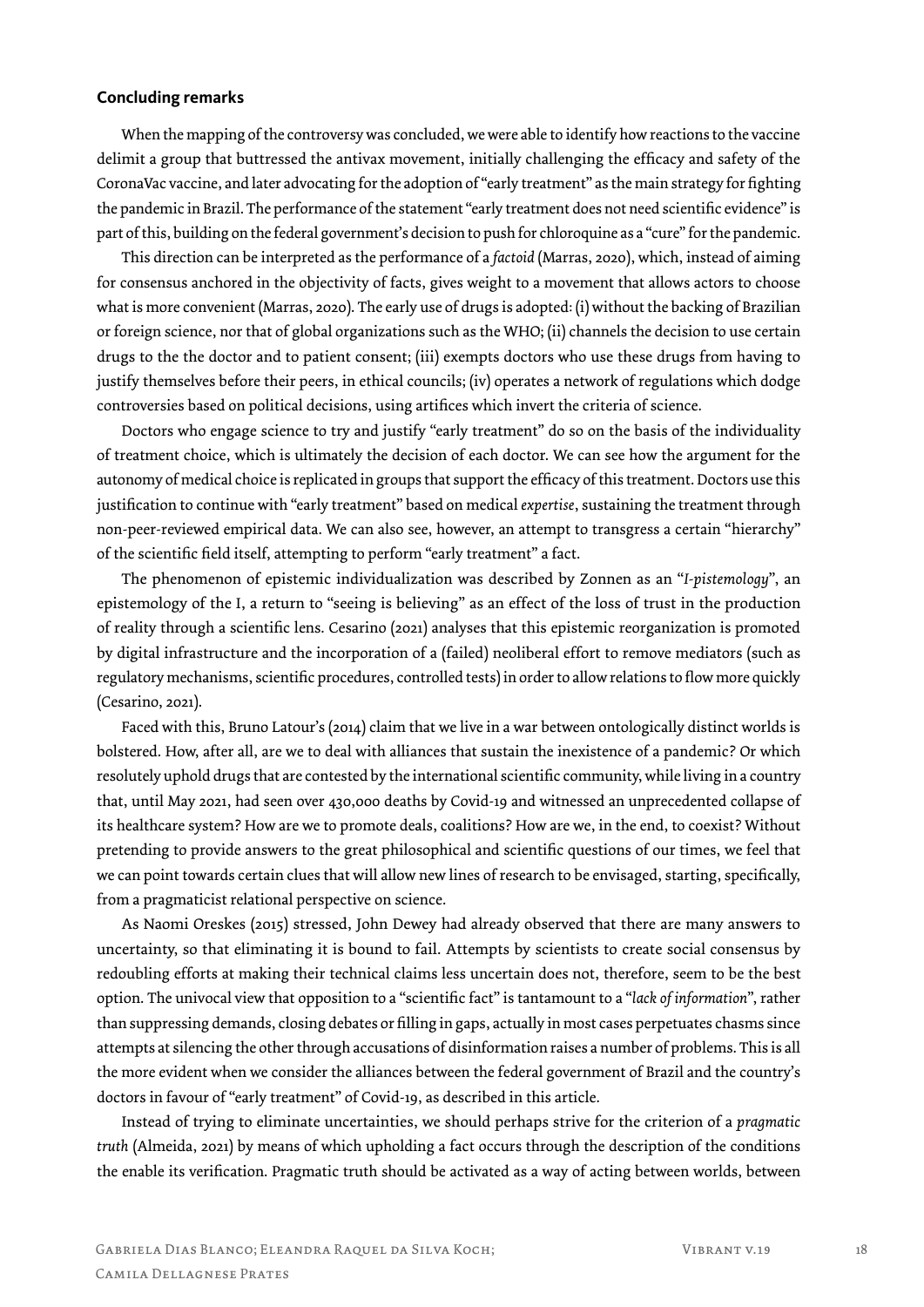## **Concluding remarks**

When the mapping of the controversy was concluded, we were able to identify how reactions to the vaccine delimit a group that buttressed the antivax movement, initially challenging the efficacy and safety of the CoronaVac vaccine, and later advocating for the adoption of "early treatment" as the main strategy for fighting the pandemic in Brazil. The performance of the statement "early treatment does not need scientific evidence" is part of this, building on the federal government's decision to push for chloroquine as a "cure" for the pandemic.

This direction can be interpreted as the performance of a *factoid* (Marras, 2020), which, instead of aiming for consensus anchored in the objectivity of facts, gives weight to a movement that allows actors to choose what is more convenient (Marras, 2020). The early use of drugs is adopted: (i) without the backing of Brazilian or foreign science, nor that of global organizations such as the WHO; (ii) channels the decision to use certain drugs to the the doctor and to patient consent; (iii) exempts doctors who use these drugs from having to justify themselves before their peers, in ethical councils; (iv) operates a network of regulations which dodge controversies based on political decisions, using artifices which invert the criteria of science.

Doctors who engage science to try and justify "early treatment" do so on the basis of the individuality of treatment choice, which is ultimately the decision of each doctor. We can see how the argument for the autonomy of medical choice is replicated in groups that support the efficacy of this treatment. Doctors use this justification to continue with "early treatment" based on medical *expertise*, sustaining the treatment through non-peer-reviewed empirical data. We can also see, however, an attempt to transgress a certain "hierarchy" of the scientific field itself, attempting to perform "early treatment" a fact.

The phenomenon of epistemic individualization was described by Zonnen as an "*I-pistemology*", an epistemology of the I, a return to "seeing is believing" as an effect of the loss of trust in the production of reality through a scientific lens. Cesarino (2021) analyses that this epistemic reorganization is promoted by digital infrastructure and the incorporation of a (failed) neoliberal effort to remove mediators (such as regulatory mechanisms, scientific procedures, controlled tests) in order to allow relations to flow more quickly (Cesarino, 2021).

Faced with this, Bruno Latour's (2014) claim that we live in a war between ontologically distinct worlds is bolstered. How, after all, are we to deal with alliances that sustain the inexistence of a pandemic? Or which resolutely uphold drugs that are contested by the international scientific community, while living in a country that, until May 2021, had seen over 430,000 deaths by Covid-19 and witnessed an unprecedented collapse of its healthcare system? How are we to promote deals, coalitions? How are we, in the end, to coexist? Without pretending to provide answers to the great philosophical and scientific questions of our times, we feel that we can point towards certain clues that will allow new lines of research to be envisaged, starting, specifically, from a pragmaticist relational perspective on science.

As Naomi Oreskes (2015) stressed, John Dewey had already observed that there are many answers to uncertainty, so that eliminating it is bound to fail. Attempts by scientists to create social consensus by redoubling efforts at making their technical claims less uncertain does not, therefore, seem to be the best option. The univocal view that opposition to a "scientific fact" is tantamount to a "*lack of information*", rather than suppressing demands, closing debates or filling in gaps, actually in most cases perpetuates chasms since attempts at silencing the other through accusations of disinformation raises a number of problems. This is all the more evident when we consider the alliances between the federal government of Brazil and the country's doctors in favour of "early treatment" of Covid-19, as described in this article.

Instead of trying to eliminate uncertainties, we should perhaps strive for the criterion of a *pragmatic truth* (Almeida, 2021) by means of which upholding a fact occurs through the description of the conditions the enable its verification. Pragmatic truth should be activated as a way of acting between worlds, between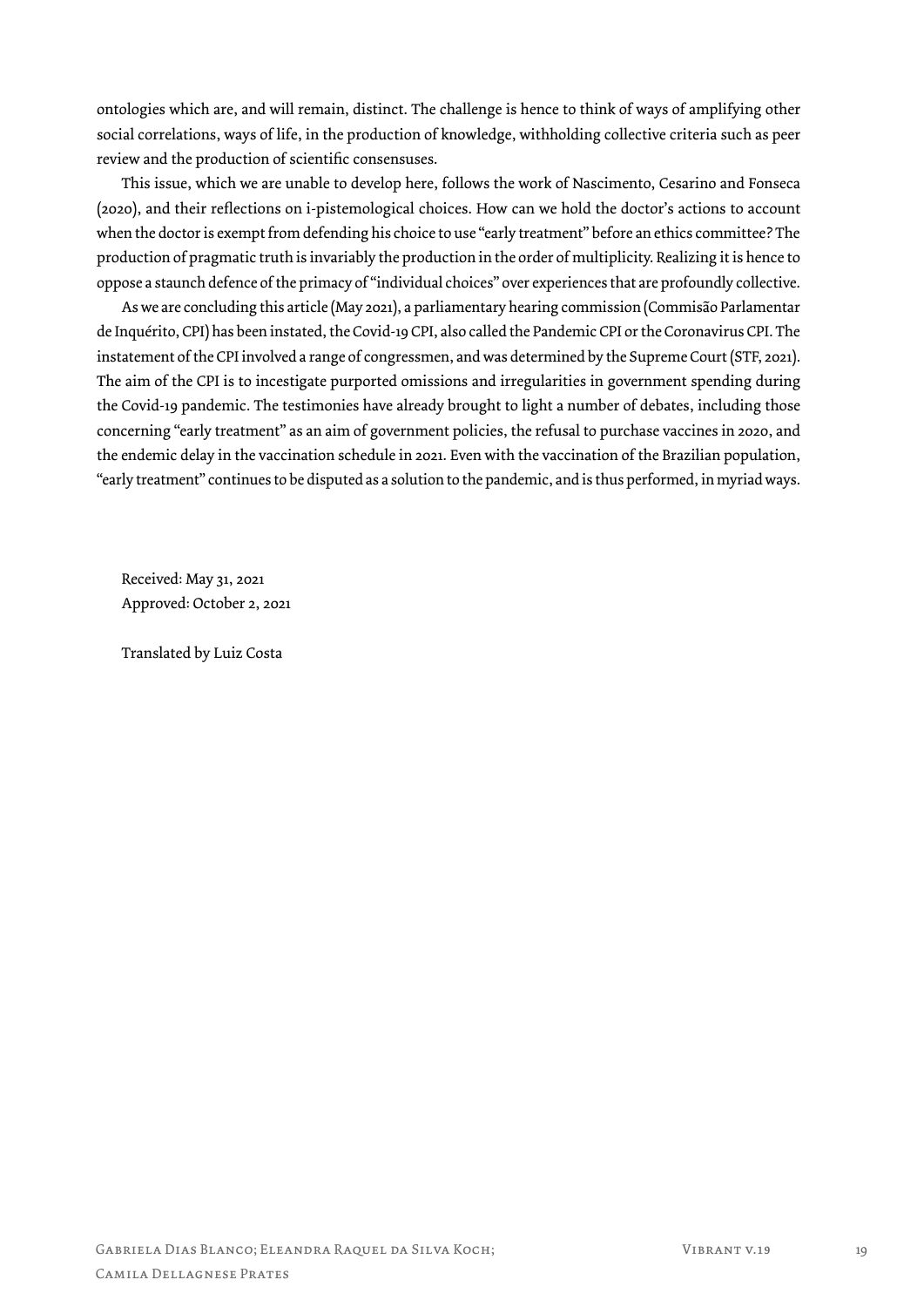ontologies which are, and will remain, distinct. The challenge is hence to think of ways of amplifying other social correlations, ways of life, in the production of knowledge, withholding collective criteria such as peer review and the production of scientific consensuses.

This issue, which we are unable to develop here, follows the work of Nascimento, Cesarino and Fonseca (2020), and their reflections on i-pistemological choices. How can we hold the doctor's actions to account when the doctor is exempt from defending his choice to use "early treatment" before an ethics committee? The production of pragmatic truth is invariably the production in the order of multiplicity. Realizing it is hence to oppose a staunch defence of the primacy of "individual choices" over experiences that are profoundly collective.

As we are concluding this article (May 2021), a parliamentary hearing commission (Commisão Parlamentar de Inquérito, CPI) has been instated, the Covid-19 CPI, also called the Pandemic CPI or the Coronavirus CPI. The instatement of the CPI involved a range of congressmen, and was determined by the Supreme Court (STF, 2021). The aim of the CPI is to incestigate purported omissions and irregularities in government spending during the Covid-19 pandemic. The testimonies have already brought to light a number of debates, including those concerning "early treatment" as an aim of government policies, the refusal to purchase vaccines in 2020, and the endemic delay in the vaccination schedule in 2021. Even with the vaccination of the Brazilian population, "early treatment" continues to be disputed as a solution to the pandemic, and is thus performed, in myriad ways.

Received: May 31, 2021 Approved: October 2, 2021

Translated by Luiz Costa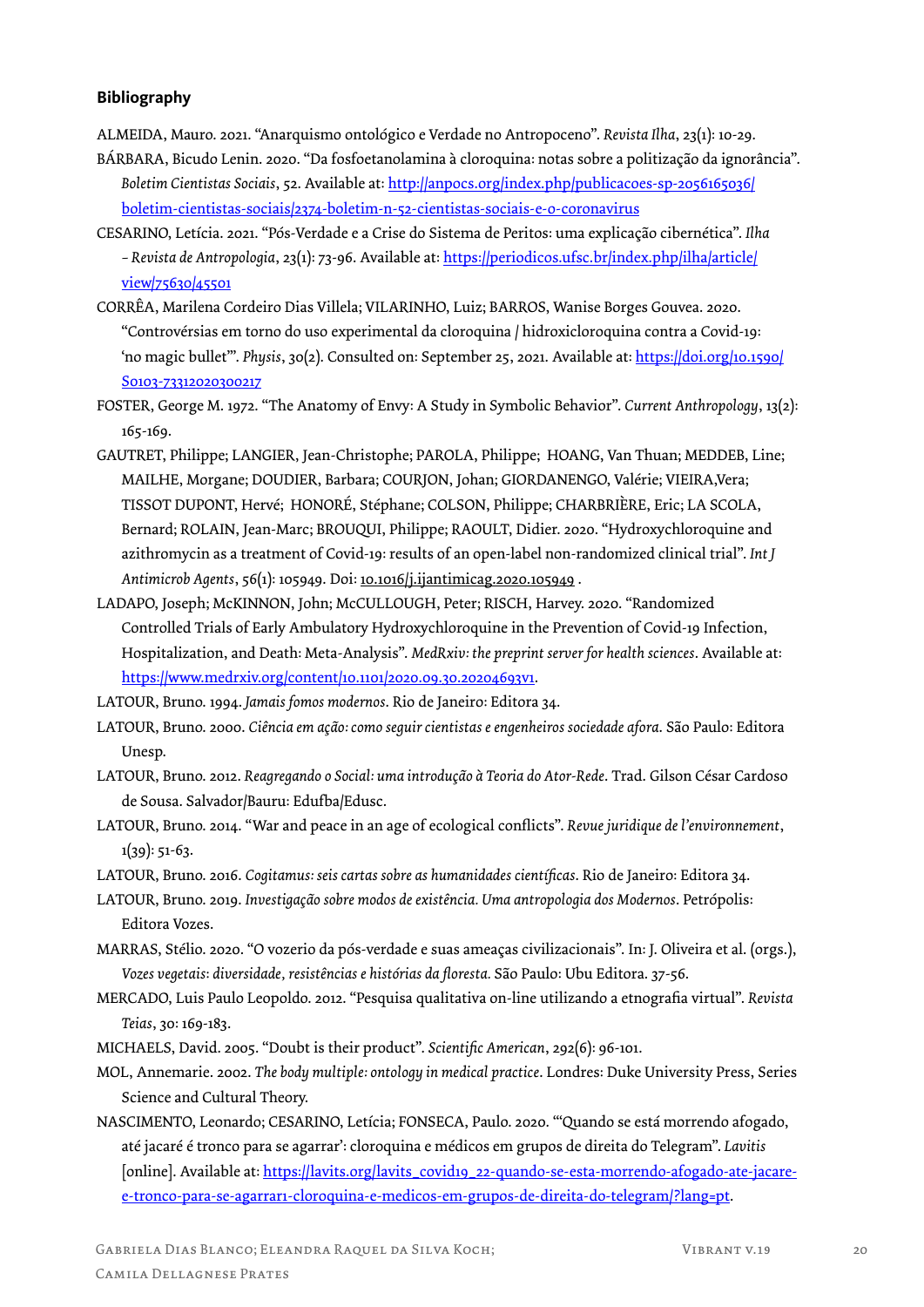## **Bibliography**

- ALMEIDA, Mauro. 2021. "Anarquismo ontológico e Verdade no Antropoceno". *Revista Ilha*, 23(1): 10-29.
- BÁRBARA, Bicudo Lenin. 2020. "Da fosfoetanolamina à cloroquina: notas sobre a politização da ignorância". *Boletim Cientistas Sociais*, 52. Available at: http://anpocs.org/index.php/publicacoes-sp-2056165036/ boletim-cientistas-sociais/2374-boletim-n-52-cientistas-sociais-e-o-coronavirus
- CESARINO, Letícia. 2021. "Pós-Verdade e a Crise do Sistema de Peritos: uma explicação cibernética". *Ilha – Revista de Antropologia*, 23(1): 73-96. Available at: https://periodicos.ufsc.br/index.php/ilha/article/ view/75630/45501
- CORRÊA, Marilena Cordeiro Dias Villela; VILARINHO, Luiz; BARROS, Wanise Borges Gouvea. 2020. "Controvérsias em torno do uso experimental da cloroquina / hidroxicloroquina contra a Covid-19: 'no magic bullet'". *Physis*, 30(2). Consulted on: September 25, 2021. Available at: https://doi.org/10.1590/ S0103-73312020300217
- FOSTER, George M. 1972. "The Anatomy of Envy: A Study in Symbolic Behavior". *Current Anthropology*, 13(2): 165-169.
- GAUTRET, Philippe; LANGIER, Jean-Christophe; PAROLA, Philippe; HOANG, Van Thuan; MEDDEB, Line; MAILHE, Morgane; DOUDIER, Barbara; COURJON, Johan; GIORDANENGO, Valérie; VIEIRA,Vera; TISSOT DUPONT, Hervé; HONORÉ, Stéphane; COLSON, Philippe; CHARBRIÈRE, Eric; LA SCOLA, Bernard; ROLAIN, Jean-Marc; BROUQUI, Philippe; RAOULT, Didier. 2020. "Hydroxychloroquine and azithromycin as a treatment of Covid-19: results of an open-label non-randomized clinical trial". *Int J Antimicrob Agents*, 56(1): 105949. Doi: 10.1016/j.ijantimicag.2020.105949 .
- LADAPO, Joseph; McKINNON, John; McCULLOUGH, Peter; RISCH, Harvey. 2020. "Randomized Controlled Trials of Early Ambulatory Hydroxychloroquine in the Prevention of Covid-19 Infection, Hospitalization, and Death: Meta-Analysis". *MedRxiv: the preprint server for health sciences*. Available at: https://www.medrxiv.org/content/10.1101/2020.09.30.20204693v1.

LATOUR, Bruno. 1994. *Jamais fomos modernos*. Rio de Janeiro: Editora 34.

- LATOUR, Bruno. 2000. *Ciência em ação: como seguir cientistas e engenheiros sociedade afora*. São Paulo: Editora Unesp.
- LATOUR, Bruno. 2012. *Reagregando o Social: uma introdução à Teoria do Ator-Rede*. Trad. Gilson César Cardoso de Sousa. Salvador/Bauru: Edufba/Edusc.
- LATOUR, Bruno. 2014. "War and peace in an age of ecological conflicts". *Revue juridique de l'environnement*,  $1(39): 51-63.$

LATOUR, Bruno. 2016. *Cogitamus: seis cartas sobre as humanidades científicas*. Rio de Janeiro: Editora 34.

LATOUR, Bruno. 2019. *Investigação sobre modos de existência. Uma antropologia dos Modernos*. Petrópolis: Editora Vozes.

- MARRAS, Stélio. 2020. "O vozerio da pós-verdade e suas ameaças civilizacionais". In: J. Oliveira et al. (orgs.), *Vozes vegetais*: *diversidade, resistências e histórias da floresta.* São Paulo: Ubu Editora. 37-56.
- MERCADO, Luis Paulo Leopoldo. 2012. "Pesquisa qualitativa on-line utilizando a etnografia virtual". *Revista Teias*, 30: 169-183.

MICHAELS, David. 2005. "Doubt is their product". *Scientific American*, 292(6): 96-101.

- MOL, Annemarie. 2002. *The body multiple: ontology in medical practice*. Londres: Duke University Press, Series Science and Cultural Theory.
- NASCIMENTO, Leonardo; CESARINO, Letícia; FONSECA, Paulo. 2020. "'Quando se está morrendo afogado, até jacaré é tronco para se agarrar': cloroquina e médicos em grupos de direita do Telegram". *Lavitis*  [online]. Available at: https://lavits.org/lavits\_covid19\_22-quando-se-esta-morrendo-afogado-ate-jacaree-tronco-para-se-agarrar1-cloroquina-e-medicos-em-grupos-de-direita-do-telegram/?lang=pt.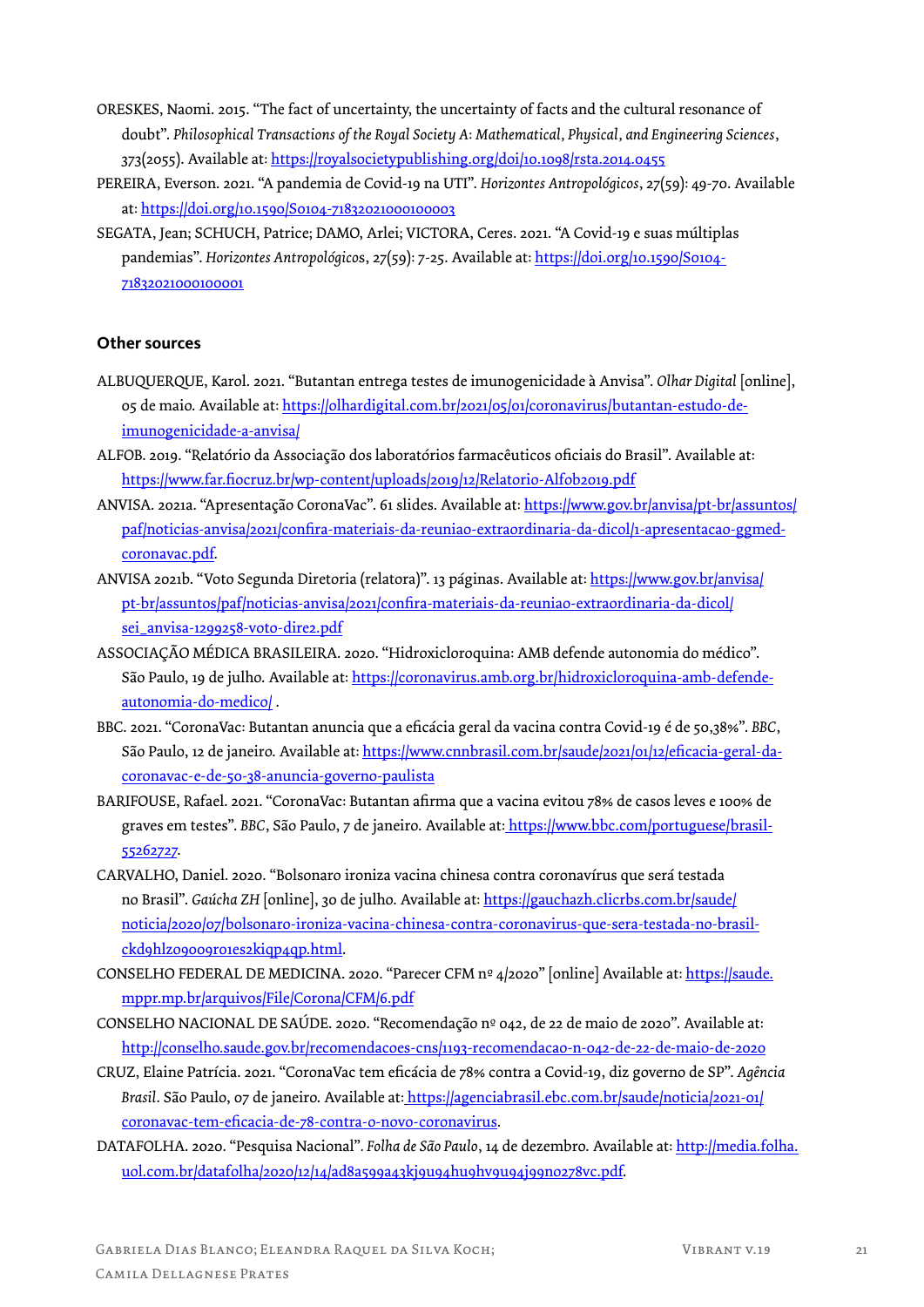- ORESKES, Naomi. 2015. "The fact of uncertainty, the uncertainty of facts and the cultural resonance of doubt". *Philosophical Transactions of the Royal Society A*: *Mathematical, Physical, and Engineering Sciences*, 373(2055). Available at: https://royalsocietypublishing.org/doi/10.1098/rsta.2014.0455
- PEREIRA, Everson. 2021. "A pandemia de Covid-19 na UTI". *Horizontes Antropológicos*, 27(59): 49-70. Available at: https://doi.org/10.1590/S0104-71832021000100003
- SEGATA, Jean; SCHUCH, Patrice; DAMO, Arlei; VICTORA, Ceres. 2021. "A Covid-19 e suas múltiplas pandemias". *Horizontes Antropológicos*, 27(59): 7-25. Available at: https://doi.org/10.1590/S0104-71832021000100001

## **Other sources**

- ALBUQUERQUE, Karol. 2021. "Butantan entrega testes de imunogenicidade à Anvisa". *Olhar Digital* [online], 05 de maio. Available at: https://olhardigital.com.br/2021/05/01/coronavirus/butantan-estudo-deimunogenicidade-a-anvisa/
- ALFOB. 2019. "Relatório da Associação dos laboratórios farmacêuticos oficiais do Brasil". Available at: https://www.far.fiocruz.br/wp-content/uploads/2019/12/Relatorio-Alfob2019.pdf
- ANVISA. 2021a. "Apresentação CoronaVac". 61 slides. Available at: https://www.gov.br/anvisa/pt-br/assuntos/ paf/noticias-anvisa/2021/confira-materiais-da-reuniao-extraordinaria-da-dicol/1-apresentacao-ggmedcoronavac.pdf.
- ANVISA 2021b. "Voto Segunda Diretoria (relatora)". 13 páginas. Available at: https://www.gov.br/anvisa/ pt-br/assuntos/paf/noticias-anvisa/2021/confira-materiais-da-reuniao-extraordinaria-da-dicol/ sei\_anvisa-1299258-voto-dire2.pdf
- ASSOCIAÇÃO MÉDICA BRASILEIRA. 2020. "Hidroxicloroquina: AMB defende autonomia do médico". São Paulo, 19 de julho. Available at: https://coronavirus.amb.org.br/hidroxicloroquina-amb-defendeautonomia-do-medico/ .
- BBC. 2021. "CoronaVac: Butantan anuncia que a eficácia geral da vacina contra Covid-19 é de 50,38%". *BBC*, São Paulo, 12 de janeiro. Available at: https://www.cnnbrasil.com.br/saude/2021/01/12/eficacia-geral-dacoronavac-e-de-50-38-anuncia-governo-paulista
- BARIFOUSE, Rafael. 2021. "CoronaVac: Butantan afirma que a vacina evitou 78% de casos leves e 100% de graves em testes". *BBC*, São Paulo, 7 de janeiro. Available at: https://www.bbc.com/portuguese/brasil-55262727.
- CARVALHO, Daniel. 2020. "Bolsonaro ironiza vacina chinesa contra coronavírus que será testada no Brasil". *Gaúcha ZH* [online], 30 de julho. Available at: https://gauchazh.clicrbs.com.br/saude/ noticia/2020/07/bolsonaro-ironiza-vacina-chinesa-contra-coronavirus-que-sera-testada-no-brasilckd9hlzo9009r01es2kiqp4qp.html.
- CONSELHO FEDERAL DE MEDICINA. 2020. "Parecer CFM nº 4/2020" [online] Available at: https://saude. mppr.mp.br/arquivos/File/Corona/CFM/6.pdf
- CONSELHO NACIONAL DE SAÚDE. 2020. "Recomendação nº 042, de 22 de maio de 2020". Available at: http://conselho.saude.gov.br/recomendacoes-cns/1193-recomendacao-n-042-de-22-de-maio-de-2020
- CRUZ, Elaine Patrícia. 2021. "CoronaVac tem eficácia de 78% contra a Covid-19, diz governo de SP". *Agência Brasil*. São Paulo, 07 de janeiro. Available at: https://agenciabrasil.ebc.com.br/saude/noticia/2021-01/ coronavac-tem-eficacia-de-78-contra-o-novo-coronavirus.
- DATAFOLHA. 2020. "Pesquisa Nacional"*. Folha de São Paulo*, 14 de dezembro. Available at: http://media.folha. uol.com.br/datafolha/2020/12/14/ad8a599a43kj9u94hu9hv9u94j99no278vc.pdf.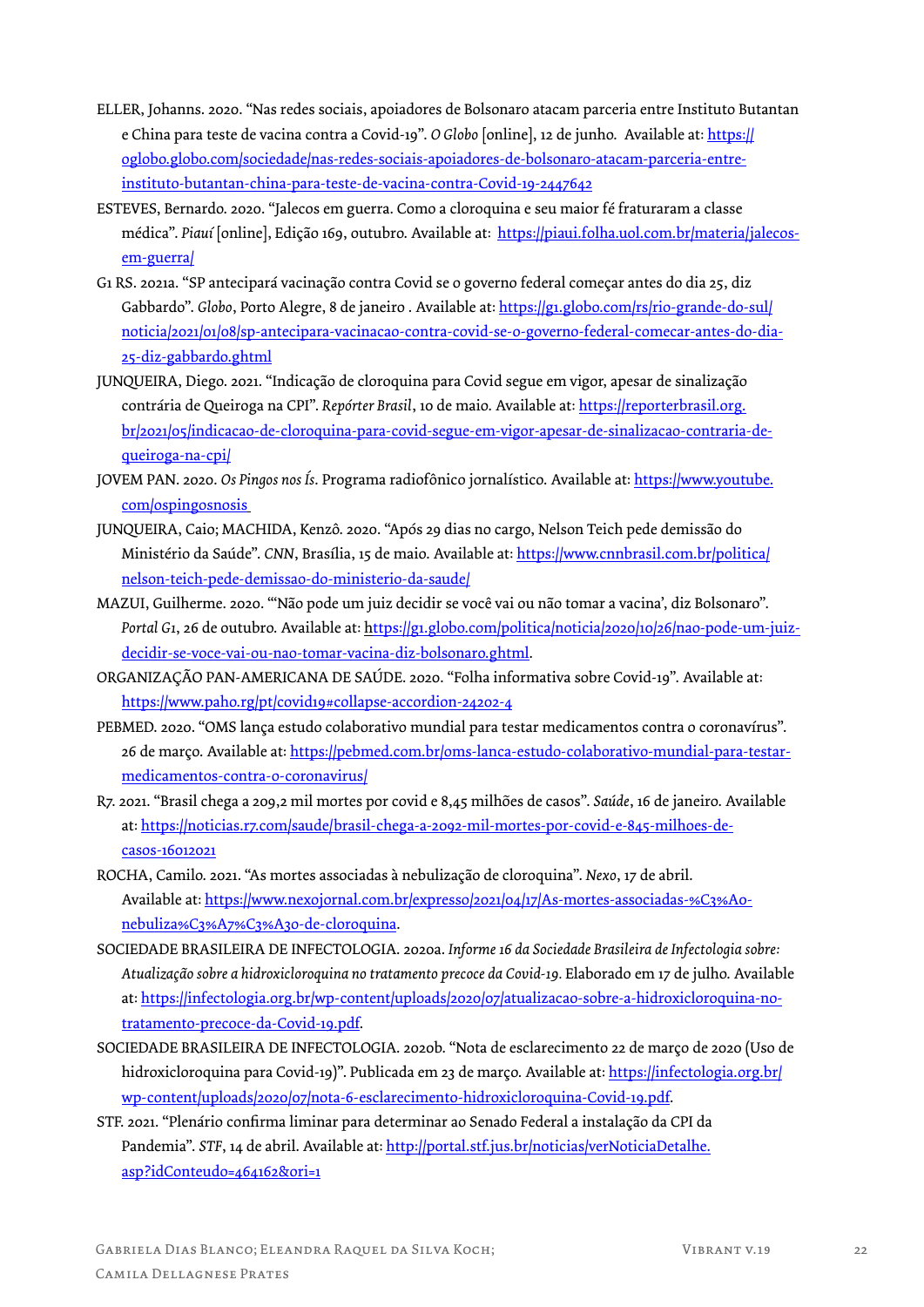- ELLER, Johanns. 2020. "Nas redes sociais, apoiadores de Bolsonaro atacam parceria entre Instituto Butantan e China para teste de vacina contra a Covid-19". *O Globo* [online], 12 de junho. Available at: https:// oglobo.globo.com/sociedade/nas-redes-sociais-apoiadores-de-bolsonaro-atacam-parceria-entreinstituto-butantan-china-para-teste-de-vacina-contra-Covid-19-2447642
- ESTEVES, Bernardo. 2020. "Jalecos em guerra. Como a cloroquina e seu maior fé fraturaram a classe médica". *Piauí* [online], Edição 169, outubro. Available at: https://piaui.folha.uol.com.br/materia/jalecosem-guerra/
- G1 RS. 2021a. "SP antecipará vacinação contra Covid se o governo federal começar antes do dia 25, diz Gabbardo". *Globo*, Porto Alegre, 8 de janeiro . Available at: https://g1.globo.com/rs/rio-grande-do-sul/ noticia/2021/01/08/sp-antecipara-vacinacao-contra-covid-se-o-governo-federal-comecar-antes-do-dia-25-diz-gabbardo.ghtml
- JUNQUEIRA, Diego. 2021. "Indicação de cloroquina para Covid segue em vigor, apesar de sinalização contrária de Queiroga na CPI". *Repórter Brasil*, 10 de maio. Available at: https://reporterbrasil.org. br/2021/05/indicacao-de-cloroquina-para-covid-segue-em-vigor-apesar-de-sinalizacao-contraria-dequeiroga-na-cpi/
- JOVEM PAN. 2020. *Os Pingos nos Ís*. Programa radiofônico jornalístico. Available at: https://www.youtube. com/ospingosnosis
- JUNQUEIRA, Caio; MACHIDA, Kenzô. 2020. "Após 29 dias no cargo, Nelson Teich pede demissão do Ministério da Saúde". *CNN*, Brasília, 15 de maio. Available at: https://www.cnnbrasil.com.br/politica/ nelson-teich-pede-demissao-do-ministerio-da-saude/
- MAZUI, Guilherme. 2020. "'Não pode um juiz decidir se você vai ou não tomar a vacina', diz Bolsonaro". *Portal G1*, 26 de outubro. Available at: https://g1.globo.com/politica/noticia/2020/10/26/nao-pode-um-juizdecidir-se-voce-vai-ou-nao-tomar-vacina-diz-bolsonaro.ghtml.
- ORGANIZAÇÃO PAN-AMERICANA DE SAÚDE. 2020. "Folha informativa sobre Covid-19". Available at: https://www.paho.rg/pt/covid19#collapse-accordion-24202-4
- PEBMED. 2020. "OMS lança estudo colaborativo mundial para testar medicamentos contra o coronavírus". 26 de março. Available at: https://pebmed.com.br/oms-lanca-estudo-colaborativo-mundial-para-testarmedicamentos-contra-o-coronavirus/
- R7. 2021. "Brasil chega a 209,2 mil mortes por covid e 8,45 milhões de casos". *Saúde*, 16 de janeiro. Available at: https://noticias.r7.com/saude/brasil-chega-a-2092-mil-mortes-por-covid-e-845-milhoes-decasos-16012021
- ROCHA, Camilo. 2021. "As mortes associadas à nebulização de cloroquina". *Nexo*, 17 de abril. Available at: https://www.nexojornal.com.br/expresso/2021/04/17/As-mortes-associadas-%C3%A0 nebuliza%C3%A7%C3%A3o-de-cloroquina.
- SOCIEDADE BRASILEIRA DE INFECTOLOGIA. 2020a. *Informe 16 da Sociedade Brasileira de Infectologia sobre: Atualização sobre a hidroxicloroquina no tratamento precoce da Covid-19.* Elaborado em 17 de julho. Available at: https://infectologia.org.br/wp-content/uploads/2020/07/atualizacao-sobre-a-hidroxicloroquina-notratamento-precoce-da-Covid-19.pdf.
- SOCIEDADE BRASILEIRA DE INFECTOLOGIA. 2020b. "Nota de esclarecimento 22 de março de 2020 (Uso de hidroxicloroquina para Covid-19)". Publicada em 23 de março. Available at: https://infectologia.org.br/ wp-content/uploads/2020/07/nota-6-esclarecimento-hidroxicloroquina-Covid-19.pdf.
- STF. 2021. "Plenário confirma liminar para determinar ao Senado Federal a instalação da CPI da Pandemia". *STF*, 14 de abril. Available at: http://portal.stf.jus.br/noticias/verNoticiaDetalhe. asp?idConteudo=464162&ori=1